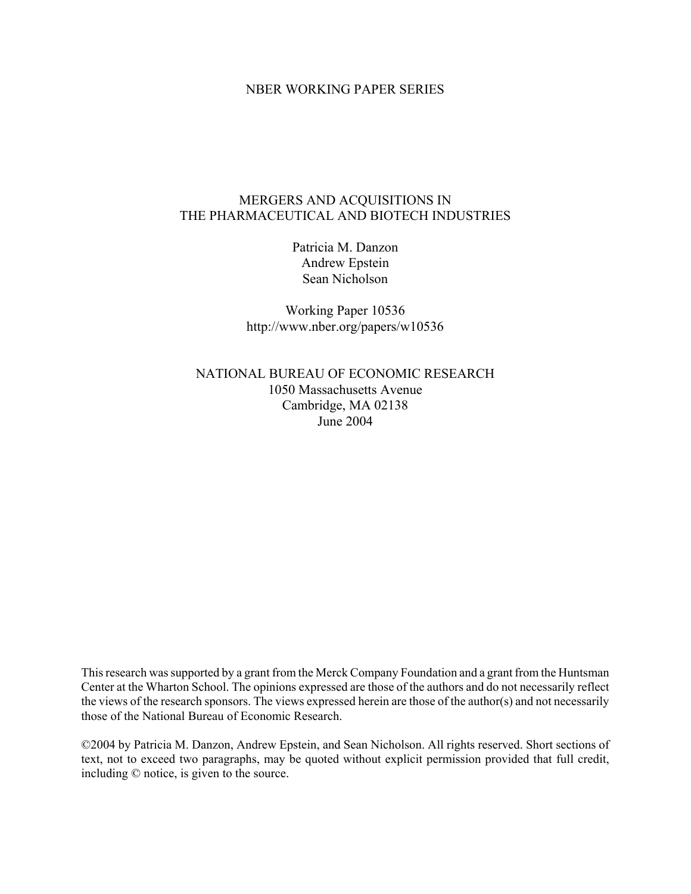# NBER WORKING PAPER SERIES

## MERGERS AND ACQUISITIONS IN THE PHARMACEUTICAL AND BIOTECH INDUSTRIES

Patricia M. Danzon Andrew Epstein Sean Nicholson

Working Paper 10536 http://www.nber.org/papers/w10536

NATIONAL BUREAU OF ECONOMIC RESEARCH 1050 Massachusetts Avenue Cambridge, MA 02138 June 2004

This research was supported by a grant from the Merck Company Foundation and a grant from the Huntsman Center at the Wharton School. The opinions expressed are those of the authors and do not necessarily reflect the views of the research sponsors. The views expressed herein are those of the author(s) and not necessarily those of the National Bureau of Economic Research.

©2004 by Patricia M. Danzon, Andrew Epstein, and Sean Nicholson. All rights reserved. Short sections of text, not to exceed two paragraphs, may be quoted without explicit permission provided that full credit, including © notice, is given to the source.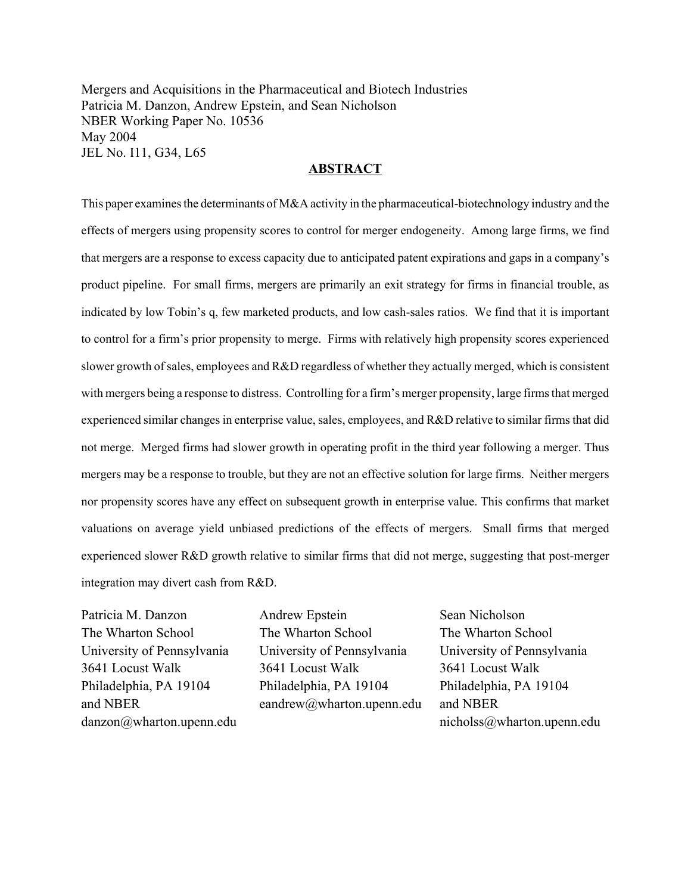Mergers and Acquisitions in the Pharmaceutical and Biotech Industries Patricia M. Danzon, Andrew Epstein, and Sean Nicholson NBER Working Paper No. 10536 May 2004 JEL No. I11, G34, L65

## **ABSTRACT**

This paper examines the determinants of M&A activity in the pharmaceutical-biotechnology industry and the effects of mergers using propensity scores to control for merger endogeneity. Among large firms, we find that mergers are a response to excess capacity due to anticipated patent expirations and gaps in a company's product pipeline. For small firms, mergers are primarily an exit strategy for firms in financial trouble, as indicated by low Tobin's q, few marketed products, and low cash-sales ratios. We find that it is important to control for a firm's prior propensity to merge. Firms with relatively high propensity scores experienced slower growth of sales, employees and R&D regardless of whether they actually merged, which is consistent with mergers being a response to distress. Controlling for a firm's merger propensity, large firms that merged experienced similar changes in enterprise value, sales, employees, and R&D relative to similar firms that did not merge. Merged firms had slower growth in operating profit in the third year following a merger. Thus mergers may be a response to trouble, but they are not an effective solution for large firms. Neither mergers nor propensity scores have any effect on subsequent growth in enterprise value. This confirms that market valuations on average yield unbiased predictions of the effects of mergers. Small firms that merged experienced slower R&D growth relative to similar firms that did not merge, suggesting that post-merger integration may divert cash from R&D.

Patricia M. Danzon The Wharton School University of Pennsylvania 3641 Locust Walk Philadelphia, PA 19104 and NBER danzon@wharton.upenn.edu Andrew Epstein The Wharton School University of Pennsylvania 3641 Locust Walk Philadelphia, PA 19104 eandrew@wharton.upenn.edu

Sean Nicholson The Wharton School University of Pennsylvania 3641 Locust Walk Philadelphia, PA 19104 and NBER nicholss@wharton.upenn.edu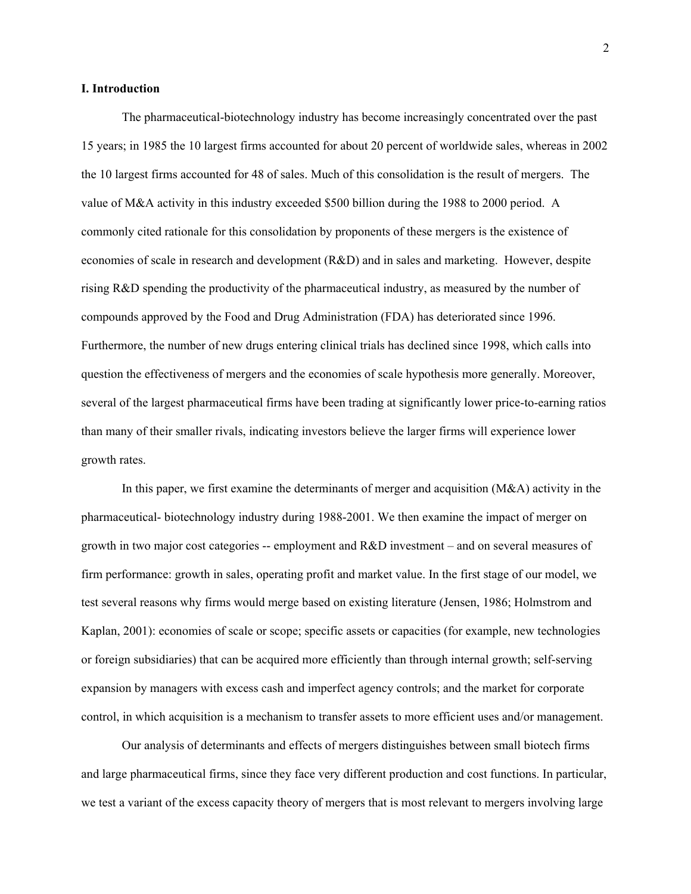#### **I. Introduction**

The pharmaceutical-biotechnology industry has become increasingly concentrated over the past 15 years; in 1985 the 10 largest firms accounted for about 20 percent of worldwide sales, whereas in 2002 the 10 largest firms accounted for 48 of sales. Much of this consolidation is the result of mergers. The value of M&A activity in this industry exceeded \$500 billion during the 1988 to 2000 period. A commonly cited rationale for this consolidation by proponents of these mergers is the existence of economies of scale in research and development (R&D) and in sales and marketing. However, despite rising R&D spending the productivity of the pharmaceutical industry, as measured by the number of compounds approved by the Food and Drug Administration (FDA) has deteriorated since 1996. Furthermore, the number of new drugs entering clinical trials has declined since 1998, which calls into question the effectiveness of mergers and the economies of scale hypothesis more generally. Moreover, several of the largest pharmaceutical firms have been trading at significantly lower price-to-earning ratios than many of their smaller rivals, indicating investors believe the larger firms will experience lower growth rates.

In this paper, we first examine the determinants of merger and acquisition (M&A) activity in the pharmaceutical- biotechnology industry during 1988-2001. We then examine the impact of merger on growth in two major cost categories -- employment and R&D investment – and on several measures of firm performance: growth in sales, operating profit and market value. In the first stage of our model, we test several reasons why firms would merge based on existing literature (Jensen, 1986; Holmstrom and Kaplan, 2001): economies of scale or scope; specific assets or capacities (for example, new technologies or foreign subsidiaries) that can be acquired more efficiently than through internal growth; self-serving expansion by managers with excess cash and imperfect agency controls; and the market for corporate control, in which acquisition is a mechanism to transfer assets to more efficient uses and/or management.

Our analysis of determinants and effects of mergers distinguishes between small biotech firms and large pharmaceutical firms, since they face very different production and cost functions. In particular, we test a variant of the excess capacity theory of mergers that is most relevant to mergers involving large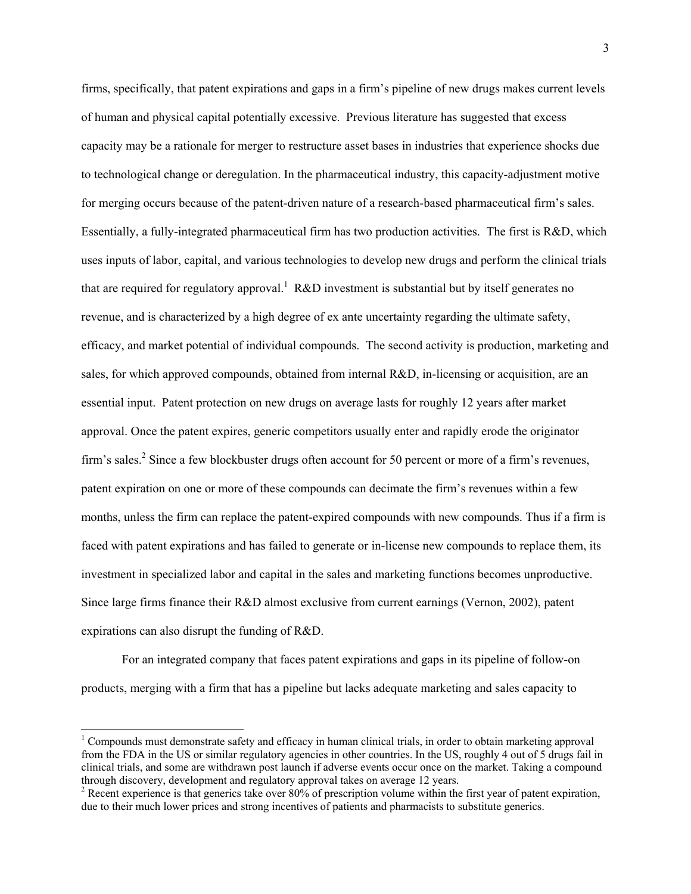firms, specifically, that patent expirations and gaps in a firm's pipeline of new drugs makes current levels of human and physical capital potentially excessive. Previous literature has suggested that excess capacity may be a rationale for merger to restructure asset bases in industries that experience shocks due to technological change or deregulation. In the pharmaceutical industry, this capacity-adjustment motive for merging occurs because of the patent-driven nature of a research-based pharmaceutical firm's sales. Essentially, a fully-integrated pharmaceutical firm has two production activities. The first is R&D, which uses inputs of labor, capital, and various technologies to develop new drugs and perform the clinical trials that are required for regulatory approval.<sup>1</sup> R&D investment is substantial but by itself generates no revenue, and is characterized by a high degree of ex ante uncertainty regarding the ultimate safety, efficacy, and market potential of individual compounds. The second activity is production, marketing and sales, for which approved compounds, obtained from internal R&D, in-licensing or acquisition, are an essential input. Patent protection on new drugs on average lasts for roughly 12 years after market approval. Once the patent expires, generic competitors usually enter and rapidly erode the originator firm's sales.<sup>2</sup> Since a few blockbuster drugs often account for 50 percent or more of a firm's revenues, patent expiration on one or more of these compounds can decimate the firm's revenues within a few months, unless the firm can replace the patent-expired compounds with new compounds. Thus if a firm is faced with patent expirations and has failed to generate or in-license new compounds to replace them, its investment in specialized labor and capital in the sales and marketing functions becomes unproductive. Since large firms finance their R&D almost exclusive from current earnings (Vernon, 2002), patent expirations can also disrupt the funding of R&D.

For an integrated company that faces patent expirations and gaps in its pipeline of follow-on products, merging with a firm that has a pipeline but lacks adequate marketing and sales capacity to

<sup>&</sup>lt;sup>1</sup> Compounds must demonstrate safety and efficacy in human clinical trials, in order to obtain marketing approval from the FDA in the US or similar regulatory agencies in other countries. In the US, roughly 4 out of 5 drugs fail in clinical trials, and some are withdrawn post launch if adverse events occur once on the market. Taking a compound through discovery, development and regulatory approval takes on average 12 years.

 $2^2$  Recent experience is that generics take over 80% of prescription volume within the first year of patent expiration, due to their much lower prices and strong incentives of patients and pharmacists to substitute generics.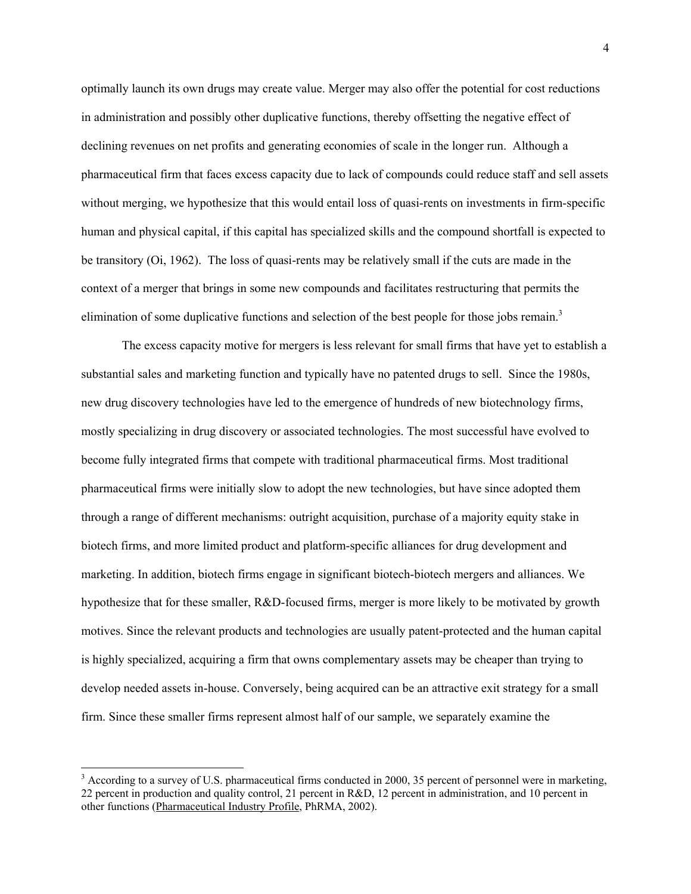optimally launch its own drugs may create value. Merger may also offer the potential for cost reductions in administration and possibly other duplicative functions, thereby offsetting the negative effect of declining revenues on net profits and generating economies of scale in the longer run. Although a pharmaceutical firm that faces excess capacity due to lack of compounds could reduce staff and sell assets without merging, we hypothesize that this would entail loss of quasi-rents on investments in firm-specific human and physical capital, if this capital has specialized skills and the compound shortfall is expected to be transitory (Oi, 1962). The loss of quasi-rents may be relatively small if the cuts are made in the context of a merger that brings in some new compounds and facilitates restructuring that permits the elimination of some duplicative functions and selection of the best people for those jobs remain.<sup>3</sup>

The excess capacity motive for mergers is less relevant for small firms that have yet to establish a substantial sales and marketing function and typically have no patented drugs to sell. Since the 1980s, new drug discovery technologies have led to the emergence of hundreds of new biotechnology firms, mostly specializing in drug discovery or associated technologies. The most successful have evolved to become fully integrated firms that compete with traditional pharmaceutical firms. Most traditional pharmaceutical firms were initially slow to adopt the new technologies, but have since adopted them through a range of different mechanisms: outright acquisition, purchase of a majority equity stake in biotech firms, and more limited product and platform-specific alliances for drug development and marketing. In addition, biotech firms engage in significant biotech-biotech mergers and alliances. We hypothesize that for these smaller, R&D-focused firms, merger is more likely to be motivated by growth motives. Since the relevant products and technologies are usually patent-protected and the human capital is highly specialized, acquiring a firm that owns complementary assets may be cheaper than trying to develop needed assets in-house. Conversely, being acquired can be an attractive exit strategy for a small firm. Since these smaller firms represent almost half of our sample, we separately examine the

<sup>&</sup>lt;sup>3</sup> According to a survey of U.S. pharmaceutical firms conducted in 2000, 35 percent of personnel were in marketing, 22 percent in production and quality control, 21 percent in R&D, 12 percent in administration, and 10 percent in other functions (Pharmaceutical Industry Profile, PhRMA, 2002).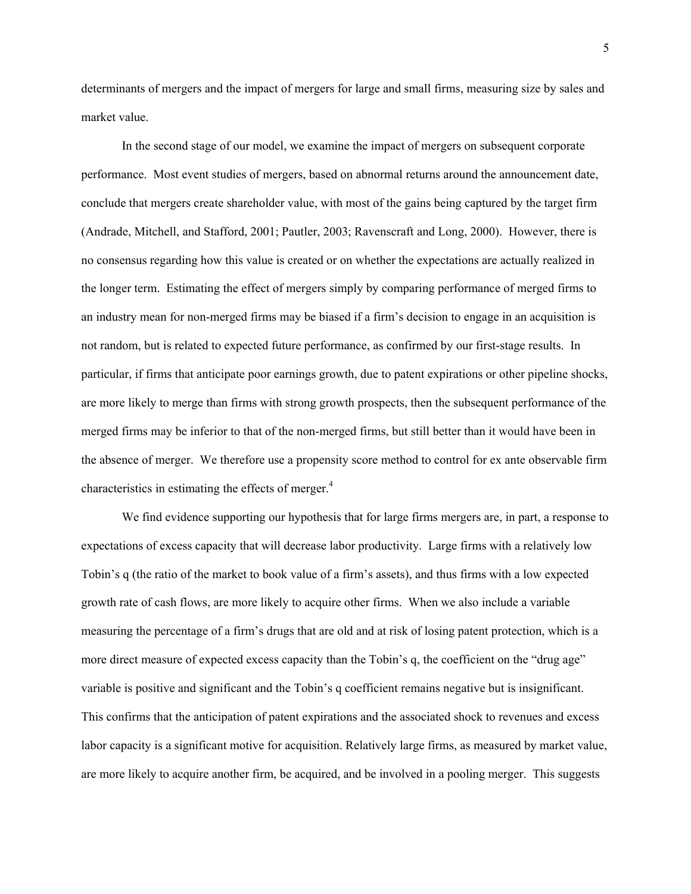determinants of mergers and the impact of mergers for large and small firms, measuring size by sales and market value.

In the second stage of our model, we examine the impact of mergers on subsequent corporate performance. Most event studies of mergers, based on abnormal returns around the announcement date, conclude that mergers create shareholder value, with most of the gains being captured by the target firm (Andrade, Mitchell, and Stafford, 2001; Pautler, 2003; Ravenscraft and Long, 2000). However, there is no consensus regarding how this value is created or on whether the expectations are actually realized in the longer term. Estimating the effect of mergers simply by comparing performance of merged firms to an industry mean for non-merged firms may be biased if a firm's decision to engage in an acquisition is not random, but is related to expected future performance, as confirmed by our first-stage results. In particular, if firms that anticipate poor earnings growth, due to patent expirations or other pipeline shocks, are more likely to merge than firms with strong growth prospects, then the subsequent performance of the merged firms may be inferior to that of the non-merged firms, but still better than it would have been in the absence of merger. We therefore use a propensity score method to control for ex ante observable firm characteristics in estimating the effects of merger.<sup>4</sup>

 We find evidence supporting our hypothesis that for large firms mergers are, in part, a response to expectations of excess capacity that will decrease labor productivity. Large firms with a relatively low Tobin's q (the ratio of the market to book value of a firm's assets), and thus firms with a low expected growth rate of cash flows, are more likely to acquire other firms. When we also include a variable measuring the percentage of a firm's drugs that are old and at risk of losing patent protection, which is a more direct measure of expected excess capacity than the Tobin's q, the coefficient on the "drug age" variable is positive and significant and the Tobin's q coefficient remains negative but is insignificant. This confirms that the anticipation of patent expirations and the associated shock to revenues and excess labor capacity is a significant motive for acquisition. Relatively large firms, as measured by market value, are more likely to acquire another firm, be acquired, and be involved in a pooling merger. This suggests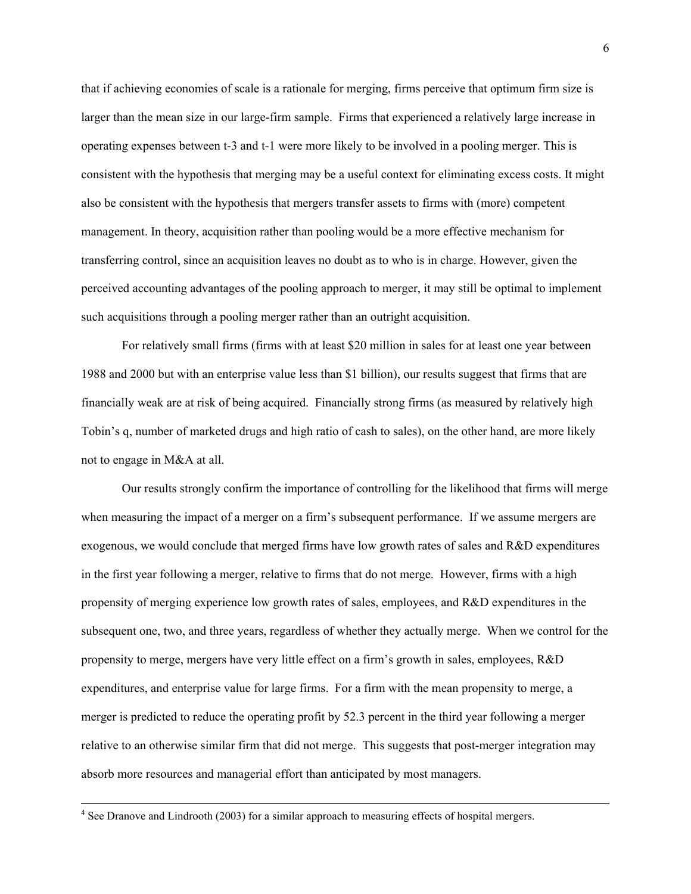that if achieving economies of scale is a rationale for merging, firms perceive that optimum firm size is larger than the mean size in our large-firm sample. Firms that experienced a relatively large increase in operating expenses between t-3 and t-1 were more likely to be involved in a pooling merger. This is consistent with the hypothesis that merging may be a useful context for eliminating excess costs. It might also be consistent with the hypothesis that mergers transfer assets to firms with (more) competent management. In theory, acquisition rather than pooling would be a more effective mechanism for transferring control, since an acquisition leaves no doubt as to who is in charge. However, given the perceived accounting advantages of the pooling approach to merger, it may still be optimal to implement such acquisitions through a pooling merger rather than an outright acquisition.

 For relatively small firms (firms with at least \$20 million in sales for at least one year between 1988 and 2000 but with an enterprise value less than \$1 billion), our results suggest that firms that are financially weak are at risk of being acquired. Financially strong firms (as measured by relatively high Tobin's q, number of marketed drugs and high ratio of cash to sales), on the other hand, are more likely not to engage in M&A at all.

 Our results strongly confirm the importance of controlling for the likelihood that firms will merge when measuring the impact of a merger on a firm's subsequent performance. If we assume mergers are exogenous, we would conclude that merged firms have low growth rates of sales and R&D expenditures in the first year following a merger, relative to firms that do not merge. However, firms with a high propensity of merging experience low growth rates of sales, employees, and R&D expenditures in the subsequent one, two, and three years, regardless of whether they actually merge. When we control for the propensity to merge, mergers have very little effect on a firm's growth in sales, employees, R&D expenditures, and enterprise value for large firms. For a firm with the mean propensity to merge, a merger is predicted to reduce the operating profit by 52.3 percent in the third year following a merger relative to an otherwise similar firm that did not merge. This suggests that post-merger integration may absorb more resources and managerial effort than anticipated by most managers.

 $\frac{1}{4}$  $4$  See Dranove and Lindrooth (2003) for a similar approach to measuring effects of hospital mergers.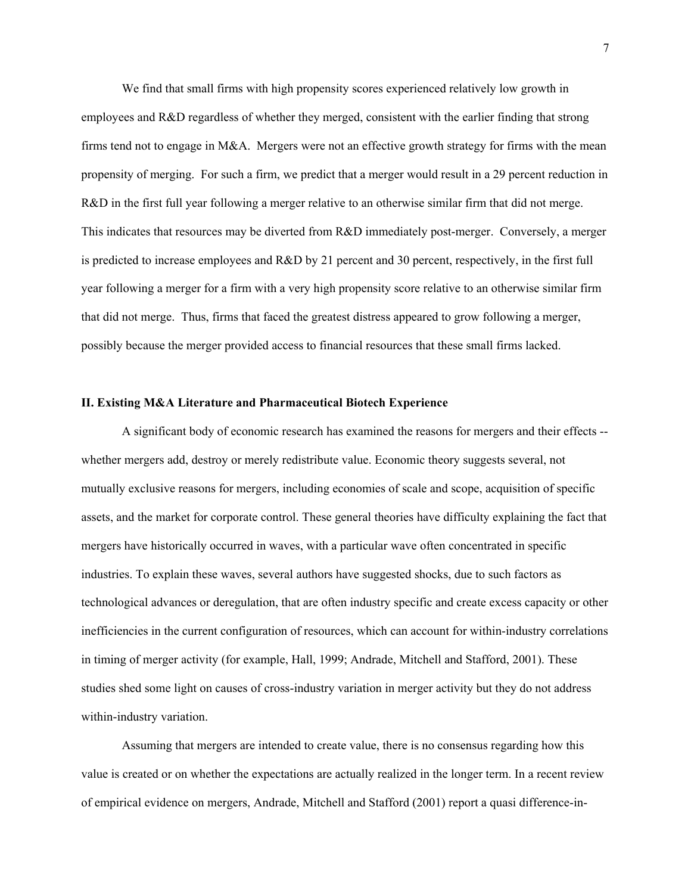We find that small firms with high propensity scores experienced relatively low growth in employees and R&D regardless of whether they merged, consistent with the earlier finding that strong firms tend not to engage in M&A. Mergers were not an effective growth strategy for firms with the mean propensity of merging. For such a firm, we predict that a merger would result in a 29 percent reduction in R&D in the first full year following a merger relative to an otherwise similar firm that did not merge. This indicates that resources may be diverted from R&D immediately post-merger. Conversely, a merger is predicted to increase employees and R&D by 21 percent and 30 percent, respectively, in the first full year following a merger for a firm with a very high propensity score relative to an otherwise similar firm that did not merge. Thus, firms that faced the greatest distress appeared to grow following a merger, possibly because the merger provided access to financial resources that these small firms lacked.

## **II. Existing M&A Literature and Pharmaceutical Biotech Experience**

A significant body of economic research has examined the reasons for mergers and their effects - whether mergers add, destroy or merely redistribute value. Economic theory suggests several, not mutually exclusive reasons for mergers, including economies of scale and scope, acquisition of specific assets, and the market for corporate control. These general theories have difficulty explaining the fact that mergers have historically occurred in waves, with a particular wave often concentrated in specific industries. To explain these waves, several authors have suggested shocks, due to such factors as technological advances or deregulation, that are often industry specific and create excess capacity or other inefficiencies in the current configuration of resources, which can account for within-industry correlations in timing of merger activity (for example, Hall, 1999; Andrade, Mitchell and Stafford, 2001). These studies shed some light on causes of cross-industry variation in merger activity but they do not address within-industry variation.

Assuming that mergers are intended to create value, there is no consensus regarding how this value is created or on whether the expectations are actually realized in the longer term. In a recent review of empirical evidence on mergers, Andrade, Mitchell and Stafford (2001) report a quasi difference-in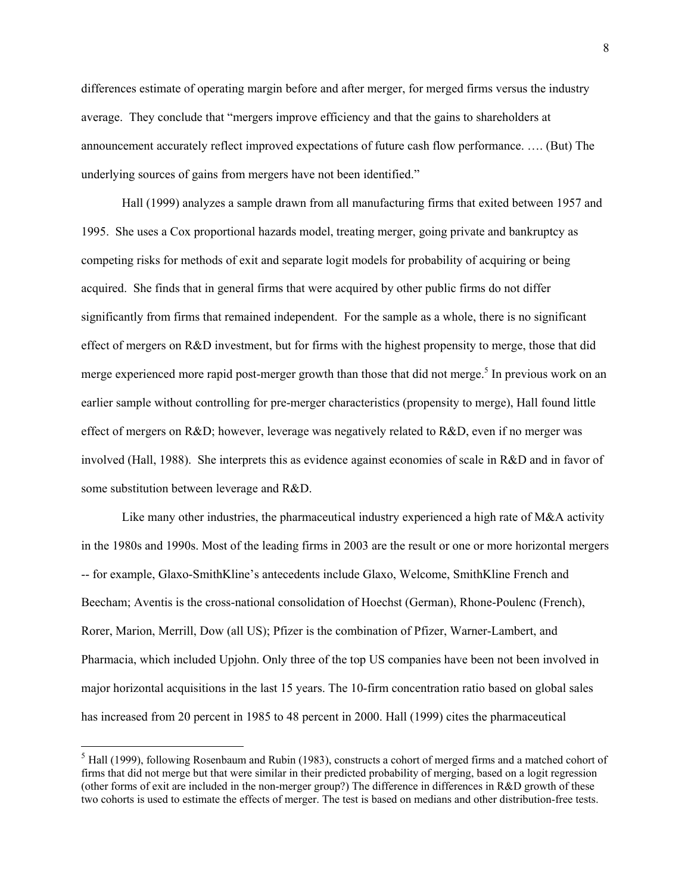differences estimate of operating margin before and after merger, for merged firms versus the industry average. They conclude that "mergers improve efficiency and that the gains to shareholders at announcement accurately reflect improved expectations of future cash flow performance. …. (But) The underlying sources of gains from mergers have not been identified."

Hall (1999) analyzes a sample drawn from all manufacturing firms that exited between 1957 and 1995. She uses a Cox proportional hazards model, treating merger, going private and bankruptcy as competing risks for methods of exit and separate logit models for probability of acquiring or being acquired. She finds that in general firms that were acquired by other public firms do not differ significantly from firms that remained independent. For the sample as a whole, there is no significant effect of mergers on R&D investment, but for firms with the highest propensity to merge, those that did merge experienced more rapid post-merger growth than those that did not merge.<sup>5</sup> In previous work on an earlier sample without controlling for pre-merger characteristics (propensity to merge), Hall found little effect of mergers on R&D; however, leverage was negatively related to R&D, even if no merger was involved (Hall, 1988). She interprets this as evidence against economies of scale in R&D and in favor of some substitution between leverage and R&D.

Like many other industries, the pharmaceutical industry experienced a high rate of M&A activity in the 1980s and 1990s. Most of the leading firms in 2003 are the result or one or more horizontal mergers -- for example, Glaxo-SmithKline's antecedents include Glaxo, Welcome, SmithKline French and Beecham; Aventis is the cross-national consolidation of Hoechst (German), Rhone-Poulenc (French), Rorer, Marion, Merrill, Dow (all US); Pfizer is the combination of Pfizer, Warner-Lambert, and Pharmacia, which included Upjohn. Only three of the top US companies have been not been involved in major horizontal acquisitions in the last 15 years. The 10-firm concentration ratio based on global sales has increased from 20 percent in 1985 to 48 percent in 2000. Hall (1999) cites the pharmaceutical

 $<sup>5</sup>$  Hall (1999), following Rosenbaum and Rubin (1983), constructs a cohort of merged firms and a matched cohort of</sup> firms that did not merge but that were similar in their predicted probability of merging, based on a logit regression (other forms of exit are included in the non-merger group?) The difference in differences in R&D growth of these two cohorts is used to estimate the effects of merger. The test is based on medians and other distribution-free tests.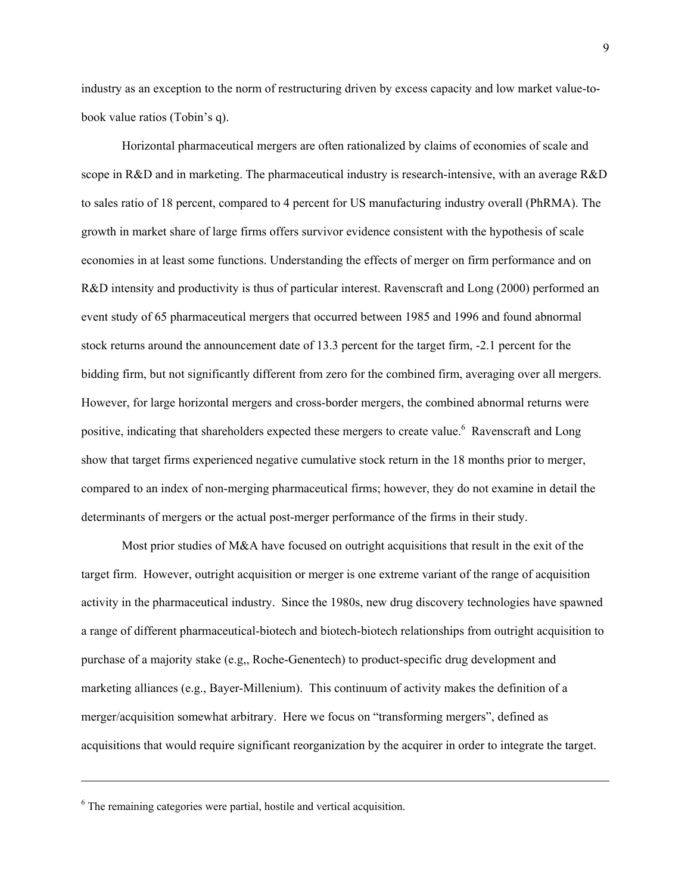industry as an exception to the norm of restructuring driven by excess capacity and low market value-tobook value ratios (Tobin's q).

Horizontal pharmaceutical mergers are often rationalized by claims of economies of scale and scope in R&D and in marketing. The pharmaceutical industry is research-intensive, with an average R&D to sales ratio of 18 percent, compared to 4 percent for US manufacturing industry overall (PhRMA). The growth in market share of large firms offers survivor evidence consistent with the hypothesis of scale economies in at least some functions. Understanding the effects of merger on firm performance and on R&D intensity and productivity is thus of particular interest. Ravenscraft and Long (2000) performed an event study of 65 pharmaceutical mergers that occurred between 1985 and 1996 and found abnormal stock returns around the announcement date of 13.3 percent for the target firm, -2.1 percent for the bidding firm, but not significantly different from zero for the combined firm, averaging over all mergers. However, for large horizontal mergers and cross-border mergers, the combined abnormal returns were positive, indicating that shareholders expected these mergers to create value.<sup>6</sup> Ravenscraft and Long show that target firms experienced negative cumulative stock return in the 18 months prior to merger, compared to an index of non-merging pharmaceutical firms; however, they do not examine in detail the determinants of mergers or the actual post-merger performance of the firms in their study.

Most prior studies of M&A have focused on outright acquisitions that result in the exit of the target firm. However, outright acquisition or merger is one extreme variant of the range of acquisition activity in the pharmaceutical industry. Since the 1980s, new drug discovery technologies have spawned a range of different pharmaceutical-biotech and biotech-biotech relationships from outright acquisition to purchase of a majority stake (e.g,, Roche-Genentech) to product-specific drug development and marketing alliances (e.g., Bayer-Millenium). This continuum of activity makes the definition of a merger/acquisition somewhat arbitrary. Here we focus on "transforming mergers", defined as acquisitions that would require significant reorganization by the acquirer in order to integrate the target.

<sup>&</sup>lt;sup>6</sup> The remaining categories were partial, hostile and vertical acquisition.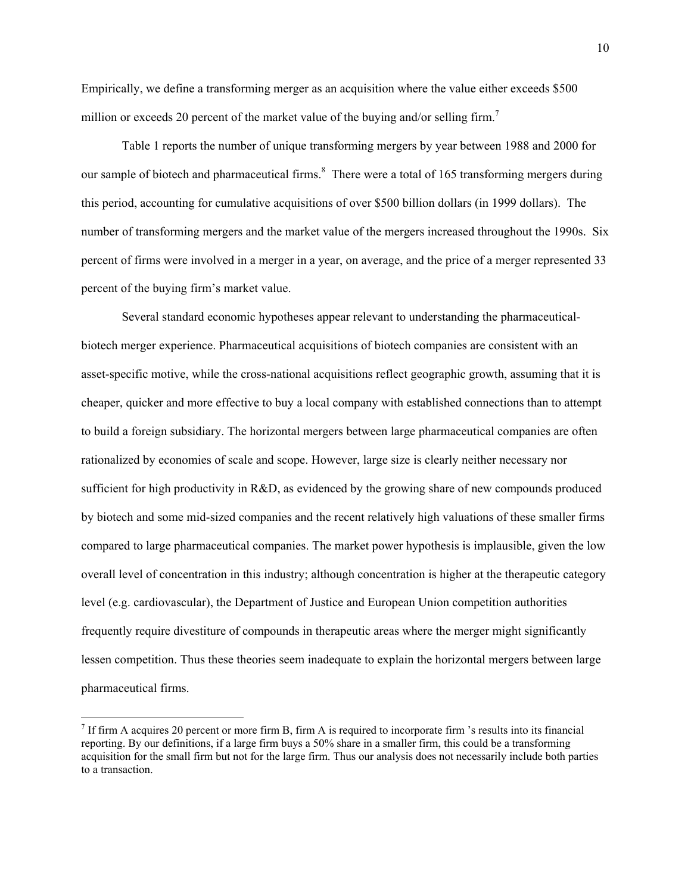Empirically, we define a transforming merger as an acquisition where the value either exceeds \$500 million or exceeds 20 percent of the market value of the buying and/or selling firm.<sup>7</sup>

Table 1 reports the number of unique transforming mergers by year between 1988 and 2000 for our sample of biotech and pharmaceutical firms.<sup>8</sup> There were a total of 165 transforming mergers during this period, accounting for cumulative acquisitions of over \$500 billion dollars (in 1999 dollars). The number of transforming mergers and the market value of the mergers increased throughout the 1990s. Six percent of firms were involved in a merger in a year, on average, and the price of a merger represented 33 percent of the buying firm's market value.

Several standard economic hypotheses appear relevant to understanding the pharmaceuticalbiotech merger experience. Pharmaceutical acquisitions of biotech companies are consistent with an asset-specific motive, while the cross-national acquisitions reflect geographic growth, assuming that it is cheaper, quicker and more effective to buy a local company with established connections than to attempt to build a foreign subsidiary. The horizontal mergers between large pharmaceutical companies are often rationalized by economies of scale and scope. However, large size is clearly neither necessary nor sufficient for high productivity in R&D, as evidenced by the growing share of new compounds produced by biotech and some mid-sized companies and the recent relatively high valuations of these smaller firms compared to large pharmaceutical companies. The market power hypothesis is implausible, given the low overall level of concentration in this industry; although concentration is higher at the therapeutic category level (e.g. cardiovascular), the Department of Justice and European Union competition authorities frequently require divestiture of compounds in therapeutic areas where the merger might significantly lessen competition. Thus these theories seem inadequate to explain the horizontal mergers between large pharmaceutical firms.

If firm A acquires 20 percent or more firm B, firm A is required to incorporate firm 's results into its financial reporting. By our definitions, if a large firm buys a 50% share in a smaller firm, this could be a transforming acquisition for the small firm but not for the large firm. Thus our analysis does not necessarily include both parties to a transaction.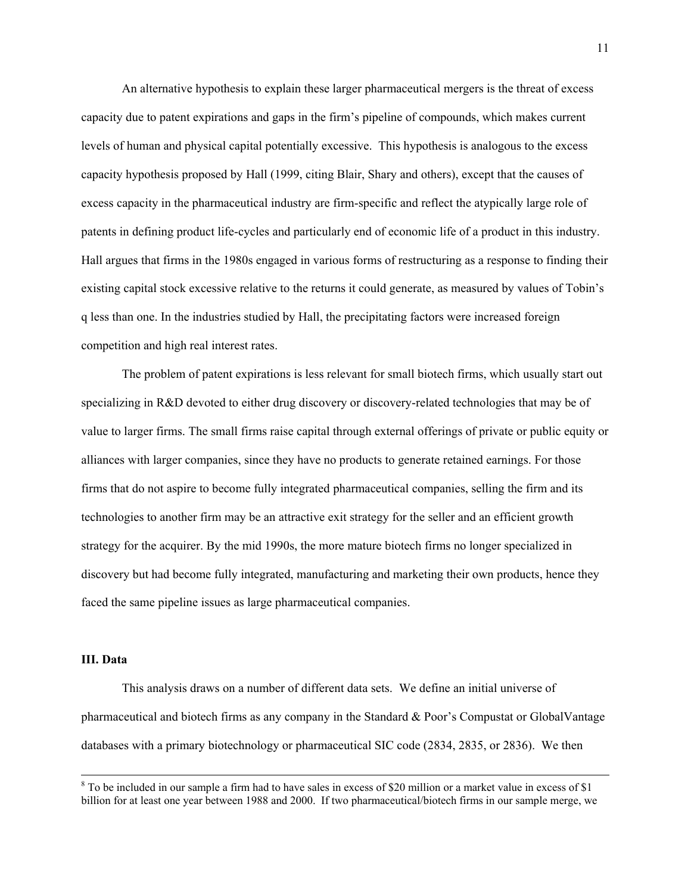An alternative hypothesis to explain these larger pharmaceutical mergers is the threat of excess capacity due to patent expirations and gaps in the firm's pipeline of compounds, which makes current levels of human and physical capital potentially excessive. This hypothesis is analogous to the excess capacity hypothesis proposed by Hall (1999, citing Blair, Shary and others), except that the causes of excess capacity in the pharmaceutical industry are firm-specific and reflect the atypically large role of patents in defining product life-cycles and particularly end of economic life of a product in this industry. Hall argues that firms in the 1980s engaged in various forms of restructuring as a response to finding their existing capital stock excessive relative to the returns it could generate, as measured by values of Tobin's q less than one. In the industries studied by Hall, the precipitating factors were increased foreign competition and high real interest rates.

The problem of patent expirations is less relevant for small biotech firms, which usually start out specializing in R&D devoted to either drug discovery or discovery-related technologies that may be of value to larger firms. The small firms raise capital through external offerings of private or public equity or alliances with larger companies, since they have no products to generate retained earnings. For those firms that do not aspire to become fully integrated pharmaceutical companies, selling the firm and its technologies to another firm may be an attractive exit strategy for the seller and an efficient growth strategy for the acquirer. By the mid 1990s, the more mature biotech firms no longer specialized in discovery but had become fully integrated, manufacturing and marketing their own products, hence they faced the same pipeline issues as large pharmaceutical companies.

### **III. Data**

This analysis draws on a number of different data sets. We define an initial universe of pharmaceutical and biotech firms as any company in the Standard & Poor's Compustat or GlobalVantage databases with a primary biotechnology or pharmaceutical SIC code (2834, 2835, or 2836). We then

 <sup>8</sup> <sup>8</sup> To be included in our sample a firm had to have sales in excess of \$20 million or a market value in excess of \$1 billion for at least one year between 1988 and 2000. If two pharmaceutical/biotech firms in our sample merge, we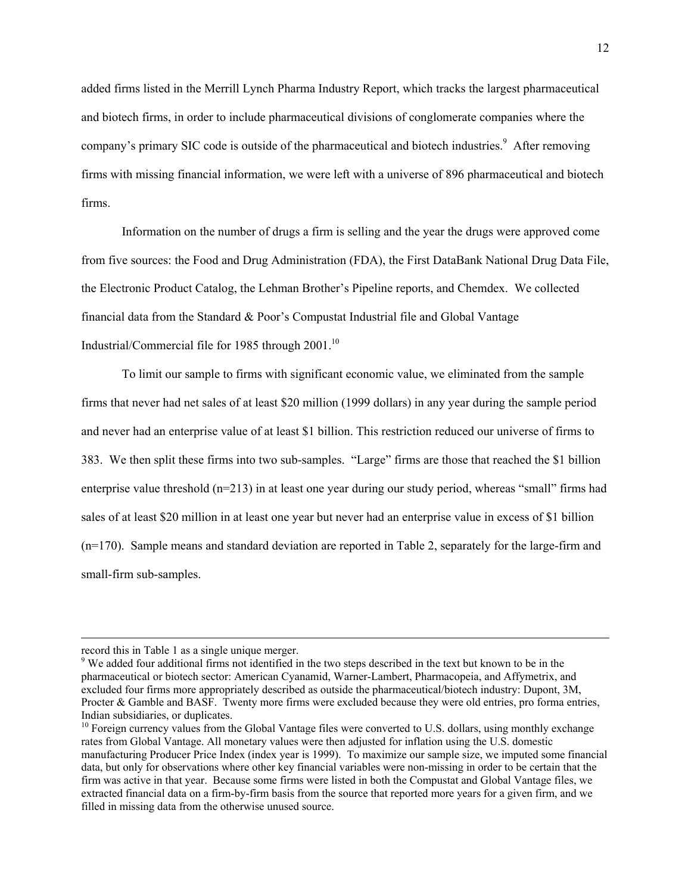added firms listed in the Merrill Lynch Pharma Industry Report, which tracks the largest pharmaceutical and biotech firms, in order to include pharmaceutical divisions of conglomerate companies where the company's primary SIC code is outside of the pharmaceutical and biotech industries.<sup>9</sup> After removing firms with missing financial information, we were left with a universe of 896 pharmaceutical and biotech firms.

Information on the number of drugs a firm is selling and the year the drugs were approved come from five sources: the Food and Drug Administration (FDA), the First DataBank National Drug Data File, the Electronic Product Catalog, the Lehman Brother's Pipeline reports, and Chemdex. We collected financial data from the Standard & Poor's Compustat Industrial file and Global Vantage Industrial/Commercial file for 1985 through 2001.10

To limit our sample to firms with significant economic value, we eliminated from the sample firms that never had net sales of at least \$20 million (1999 dollars) in any year during the sample period and never had an enterprise value of at least \$1 billion. This restriction reduced our universe of firms to 383. We then split these firms into two sub-samples. "Large" firms are those that reached the \$1 billion enterprise value threshold (n=213) in at least one year during our study period, whereas "small" firms had sales of at least \$20 million in at least one year but never had an enterprise value in excess of \$1 billion (n=170). Sample means and standard deviation are reported in Table 2, separately for the large-firm and small-firm sub-samples.

record this in Table 1 as a single unique merger.

<sup>&</sup>lt;sup>9</sup> We added four additional firms not identified in the two steps described in the text but known to be in the pharmaceutical or biotech sector: American Cyanamid, Warner-Lambert, Pharmacopeia, and Affymetrix, and excluded four firms more appropriately described as outside the pharmaceutical/biotech industry: Dupont, 3M, Procter & Gamble and BASF. Twenty more firms were excluded because they were old entries, pro forma entries, Indian subsidiaries, or duplicates.<br><sup>10</sup> Foreign currency values from the Global Vantage files were converted to U.S. dollars, using monthly exchange

rates from Global Vantage. All monetary values were then adjusted for inflation using the U.S. domestic manufacturing Producer Price Index (index year is 1999). To maximize our sample size, we imputed some financial data, but only for observations where other key financial variables were non-missing in order to be certain that the firm was active in that year. Because some firms were listed in both the Compustat and Global Vantage files, we extracted financial data on a firm-by-firm basis from the source that reported more years for a given firm, and we filled in missing data from the otherwise unused source.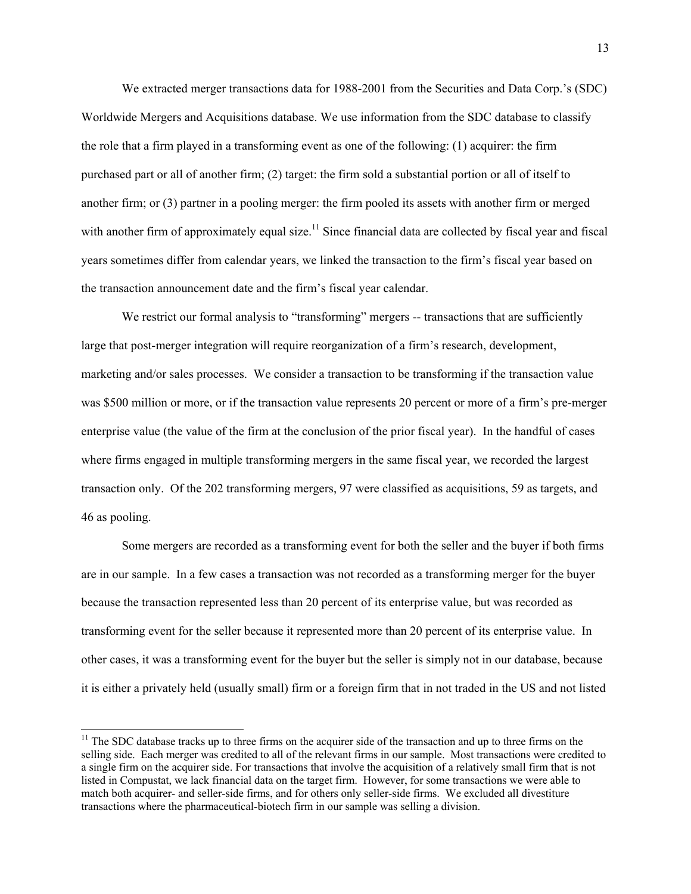We extracted merger transactions data for 1988-2001 from the Securities and Data Corp.'s (SDC) Worldwide Mergers and Acquisitions database. We use information from the SDC database to classify the role that a firm played in a transforming event as one of the following: (1) acquirer: the firm purchased part or all of another firm; (2) target: the firm sold a substantial portion or all of itself to another firm; or (3) partner in a pooling merger: the firm pooled its assets with another firm or merged with another firm of approximately equal size.<sup>11</sup> Since financial data are collected by fiscal year and fiscal years sometimes differ from calendar years, we linked the transaction to the firm's fiscal year based on the transaction announcement date and the firm's fiscal year calendar.

We restrict our formal analysis to "transforming" mergers -- transactions that are sufficiently large that post-merger integration will require reorganization of a firm's research, development, marketing and/or sales processes. We consider a transaction to be transforming if the transaction value was \$500 million or more, or if the transaction value represents 20 percent or more of a firm's pre-merger enterprise value (the value of the firm at the conclusion of the prior fiscal year). In the handful of cases where firms engaged in multiple transforming mergers in the same fiscal year, we recorded the largest transaction only. Of the 202 transforming mergers, 97 were classified as acquisitions, 59 as targets, and 46 as pooling.

Some mergers are recorded as a transforming event for both the seller and the buyer if both firms are in our sample. In a few cases a transaction was not recorded as a transforming merger for the buyer because the transaction represented less than 20 percent of its enterprise value, but was recorded as transforming event for the seller because it represented more than 20 percent of its enterprise value. In other cases, it was a transforming event for the buyer but the seller is simply not in our database, because it is either a privately held (usually small) firm or a foreign firm that in not traded in the US and not listed

 $11$  The SDC database tracks up to three firms on the acquirer side of the transaction and up to three firms on the selling side. Each merger was credited to all of the relevant firms in our sample. Most transactions were credited to a single firm on the acquirer side. For transactions that involve the acquisition of a relatively small firm that is not listed in Compustat, we lack financial data on the target firm. However, for some transactions we were able to match both acquirer- and seller-side firms, and for others only seller-side firms. We excluded all divestiture transactions where the pharmaceutical-biotech firm in our sample was selling a division.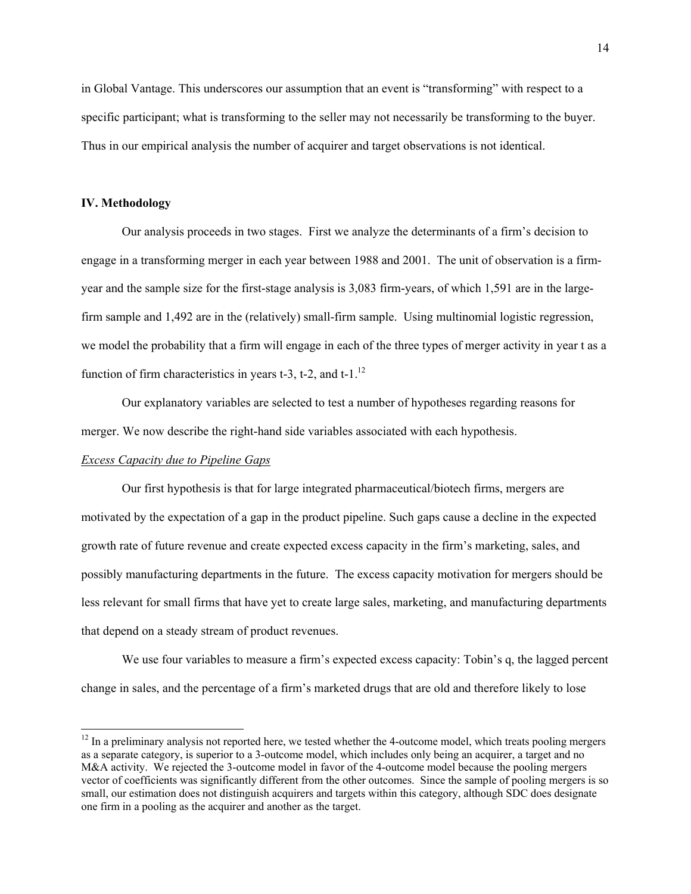in Global Vantage. This underscores our assumption that an event is "transforming" with respect to a specific participant; what is transforming to the seller may not necessarily be transforming to the buyer. Thus in our empirical analysis the number of acquirer and target observations is not identical.

#### **IV. Methodology**

Our analysis proceeds in two stages. First we analyze the determinants of a firm's decision to engage in a transforming merger in each year between 1988 and 2001. The unit of observation is a firmyear and the sample size for the first-stage analysis is 3,083 firm-years, of which 1,591 are in the largefirm sample and 1,492 are in the (relatively) small-firm sample. Using multinomial logistic regression, we model the probability that a firm will engage in each of the three types of merger activity in year t as a function of firm characteristics in years t-3, t-2, and t-1.<sup>12</sup>

Our explanatory variables are selected to test a number of hypotheses regarding reasons for merger. We now describe the right-hand side variables associated with each hypothesis.

## *Excess Capacity due to Pipeline Gaps*

l

Our first hypothesis is that for large integrated pharmaceutical/biotech firms, mergers are motivated by the expectation of a gap in the product pipeline. Such gaps cause a decline in the expected growth rate of future revenue and create expected excess capacity in the firm's marketing, sales, and possibly manufacturing departments in the future. The excess capacity motivation for mergers should be less relevant for small firms that have yet to create large sales, marketing, and manufacturing departments that depend on a steady stream of product revenues.

We use four variables to measure a firm's expected excess capacity: Tobin's q, the lagged percent change in sales, and the percentage of a firm's marketed drugs that are old and therefore likely to lose

 $12$  In a preliminary analysis not reported here, we tested whether the 4-outcome model, which treats pooling mergers as a separate category, is superior to a 3-outcome model, which includes only being an acquirer, a target and no M&A activity. We rejected the 3-outcome model in favor of the 4-outcome model because the pooling mergers vector of coefficients was significantly different from the other outcomes. Since the sample of pooling mergers is so small, our estimation does not distinguish acquirers and targets within this category, although SDC does designate one firm in a pooling as the acquirer and another as the target.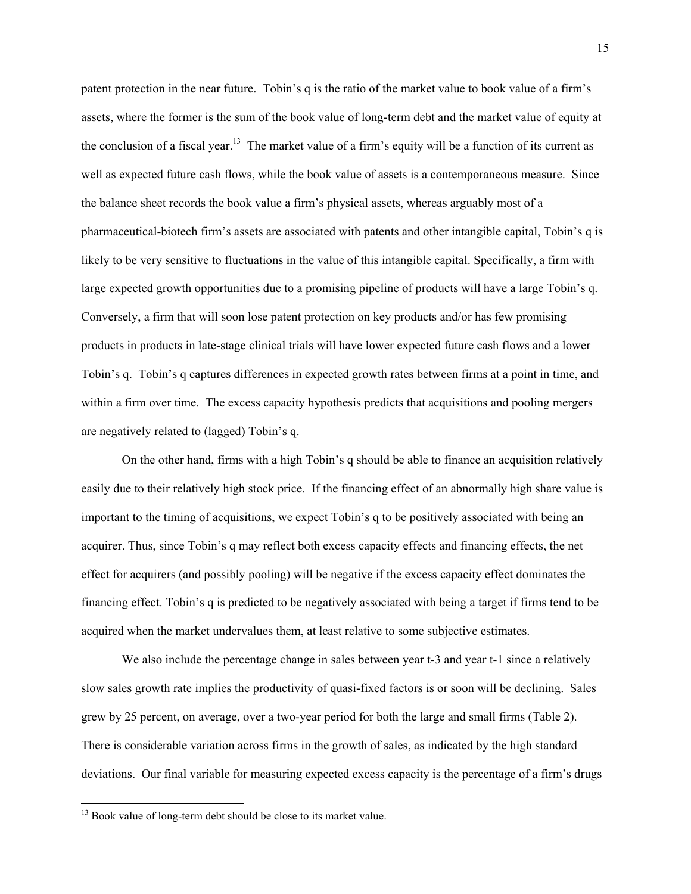patent protection in the near future. Tobin's q is the ratio of the market value to book value of a firm's assets, where the former is the sum of the book value of long-term debt and the market value of equity at the conclusion of a fiscal year.<sup>13</sup> The market value of a firm's equity will be a function of its current as well as expected future cash flows, while the book value of assets is a contemporaneous measure. Since the balance sheet records the book value a firm's physical assets, whereas arguably most of a pharmaceutical-biotech firm's assets are associated with patents and other intangible capital, Tobin's q is likely to be very sensitive to fluctuations in the value of this intangible capital. Specifically, a firm with large expected growth opportunities due to a promising pipeline of products will have a large Tobin's q. Conversely, a firm that will soon lose patent protection on key products and/or has few promising products in products in late-stage clinical trials will have lower expected future cash flows and a lower Tobin's q. Tobin's q captures differences in expected growth rates between firms at a point in time, and within a firm over time. The excess capacity hypothesis predicts that acquisitions and pooling mergers are negatively related to (lagged) Tobin's q.

On the other hand, firms with a high Tobin's q should be able to finance an acquisition relatively easily due to their relatively high stock price. If the financing effect of an abnormally high share value is important to the timing of acquisitions, we expect Tobin's q to be positively associated with being an acquirer. Thus, since Tobin's q may reflect both excess capacity effects and financing effects, the net effect for acquirers (and possibly pooling) will be negative if the excess capacity effect dominates the financing effect. Tobin's q is predicted to be negatively associated with being a target if firms tend to be acquired when the market undervalues them, at least relative to some subjective estimates.

We also include the percentage change in sales between year t-3 and year t-1 since a relatively slow sales growth rate implies the productivity of quasi-fixed factors is or soon will be declining. Sales grew by 25 percent, on average, over a two-year period for both the large and small firms (Table 2). There is considerable variation across firms in the growth of sales, as indicated by the high standard deviations. Our final variable for measuring expected excess capacity is the percentage of a firm's drugs

 $13$  Book value of long-term debt should be close to its market value.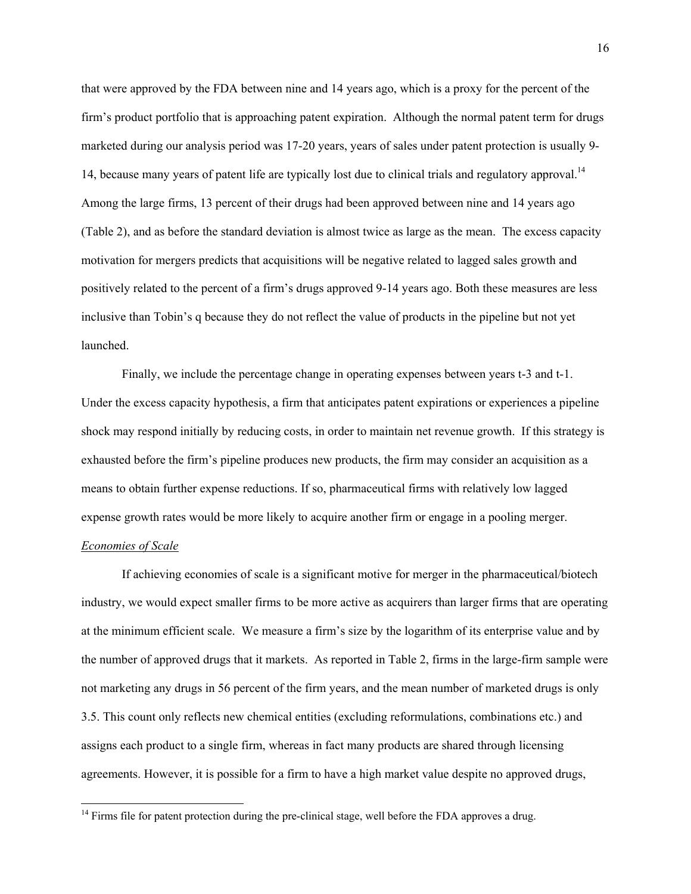that were approved by the FDA between nine and 14 years ago, which is a proxy for the percent of the firm's product portfolio that is approaching patent expiration. Although the normal patent term for drugs marketed during our analysis period was 17-20 years, years of sales under patent protection is usually 9- 14, because many years of patent life are typically lost due to clinical trials and regulatory approval.<sup>14</sup> Among the large firms, 13 percent of their drugs had been approved between nine and 14 years ago (Table 2), and as before the standard deviation is almost twice as large as the mean. The excess capacity motivation for mergers predicts that acquisitions will be negative related to lagged sales growth and positively related to the percent of a firm's drugs approved 9-14 years ago. Both these measures are less inclusive than Tobin's q because they do not reflect the value of products in the pipeline but not yet launched.

Finally, we include the percentage change in operating expenses between years t-3 and t-1. Under the excess capacity hypothesis, a firm that anticipates patent expirations or experiences a pipeline shock may respond initially by reducing costs, in order to maintain net revenue growth. If this strategy is exhausted before the firm's pipeline produces new products, the firm may consider an acquisition as a means to obtain further expense reductions. If so, pharmaceutical firms with relatively low lagged expense growth rates would be more likely to acquire another firm or engage in a pooling merger.

#### *Economies of Scale*

l

If achieving economies of scale is a significant motive for merger in the pharmaceutical/biotech industry, we would expect smaller firms to be more active as acquirers than larger firms that are operating at the minimum efficient scale. We measure a firm's size by the logarithm of its enterprise value and by the number of approved drugs that it markets. As reported in Table 2, firms in the large-firm sample were not marketing any drugs in 56 percent of the firm years, and the mean number of marketed drugs is only 3.5. This count only reflects new chemical entities (excluding reformulations, combinations etc.) and assigns each product to a single firm, whereas in fact many products are shared through licensing agreements. However, it is possible for a firm to have a high market value despite no approved drugs,

 $14$  Firms file for patent protection during the pre-clinical stage, well before the FDA approves a drug.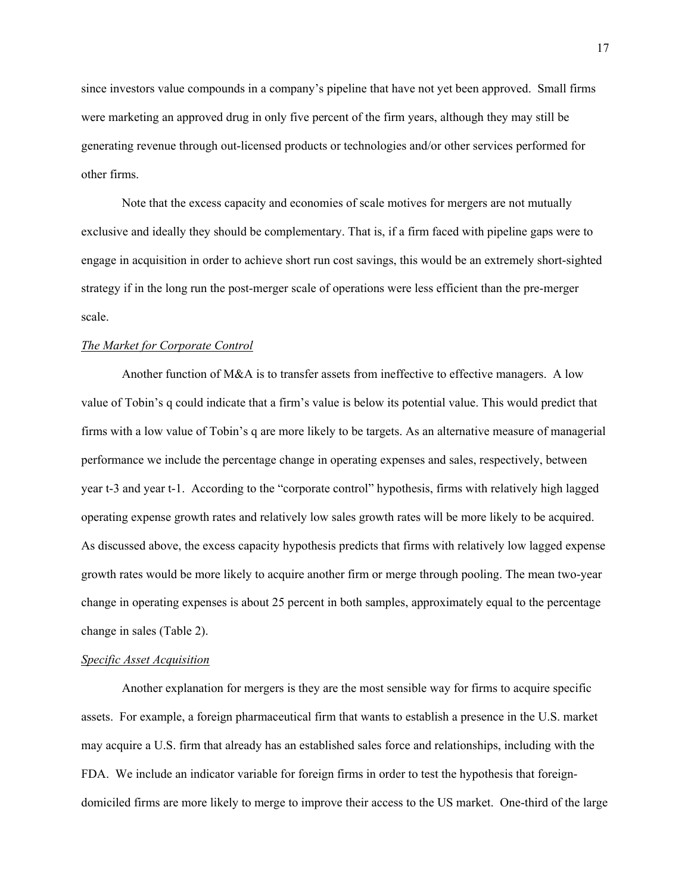since investors value compounds in a company's pipeline that have not yet been approved. Small firms were marketing an approved drug in only five percent of the firm years, although they may still be generating revenue through out-licensed products or technologies and/or other services performed for other firms.

Note that the excess capacity and economies of scale motives for mergers are not mutually exclusive and ideally they should be complementary. That is, if a firm faced with pipeline gaps were to engage in acquisition in order to achieve short run cost savings, this would be an extremely short-sighted strategy if in the long run the post-merger scale of operations were less efficient than the pre-merger scale.

#### *The Market for Corporate Control*

Another function of M&A is to transfer assets from ineffective to effective managers. A low value of Tobin's q could indicate that a firm's value is below its potential value. This would predict that firms with a low value of Tobin's q are more likely to be targets. As an alternative measure of managerial performance we include the percentage change in operating expenses and sales, respectively, between year t-3 and year t-1. According to the "corporate control" hypothesis, firms with relatively high lagged operating expense growth rates and relatively low sales growth rates will be more likely to be acquired. As discussed above, the excess capacity hypothesis predicts that firms with relatively low lagged expense growth rates would be more likely to acquire another firm or merge through pooling. The mean two-year change in operating expenses is about 25 percent in both samples, approximately equal to the percentage change in sales (Table 2).

#### *Specific Asset Acquisition*

Another explanation for mergers is they are the most sensible way for firms to acquire specific assets. For example, a foreign pharmaceutical firm that wants to establish a presence in the U.S. market may acquire a U.S. firm that already has an established sales force and relationships, including with the FDA. We include an indicator variable for foreign firms in order to test the hypothesis that foreigndomiciled firms are more likely to merge to improve their access to the US market. One-third of the large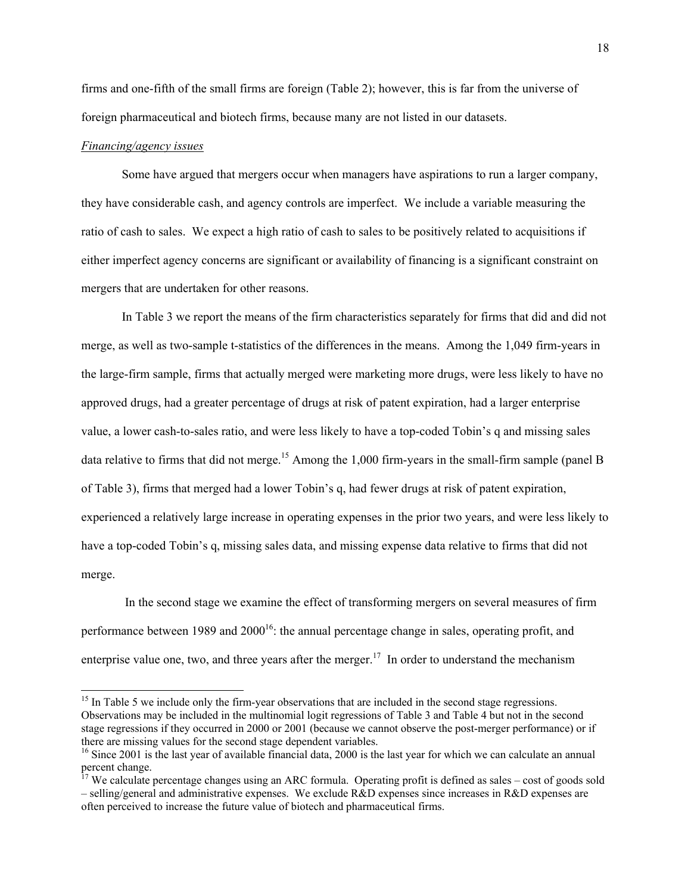firms and one-fifth of the small firms are foreign (Table 2); however, this is far from the universe of foreign pharmaceutical and biotech firms, because many are not listed in our datasets.

#### *Financing/agency issues*

l

Some have argued that mergers occur when managers have aspirations to run a larger company, they have considerable cash, and agency controls are imperfect. We include a variable measuring the ratio of cash to sales. We expect a high ratio of cash to sales to be positively related to acquisitions if either imperfect agency concerns are significant or availability of financing is a significant constraint on mergers that are undertaken for other reasons.

In Table 3 we report the means of the firm characteristics separately for firms that did and did not merge, as well as two-sample t-statistics of the differences in the means. Among the 1,049 firm-years in the large-firm sample, firms that actually merged were marketing more drugs, were less likely to have no approved drugs, had a greater percentage of drugs at risk of patent expiration, had a larger enterprise value, a lower cash-to-sales ratio, and were less likely to have a top-coded Tobin's q and missing sales data relative to firms that did not merge.<sup>15</sup> Among the 1,000 firm-years in the small-firm sample (panel B of Table 3), firms that merged had a lower Tobin's q, had fewer drugs at risk of patent expiration, experienced a relatively large increase in operating expenses in the prior two years, and were less likely to have a top-coded Tobin's q, missing sales data, and missing expense data relative to firms that did not merge.

 In the second stage we examine the effect of transforming mergers on several measures of firm performance between 1989 and  $2000^{16}$ : the annual percentage change in sales, operating profit, and enterprise value one, two, and three years after the merger.<sup>17</sup> In order to understand the mechanism

<sup>&</sup>lt;sup>15</sup> In Table 5 we include only the firm-year observations that are included in the second stage regressions. Observations may be included in the multinomial logit regressions of Table 3 and Table 4 but not in the second stage regressions if they occurred in 2000 or 2001 (because we cannot observe the post-merger performance) or if there are missing values for the second stage dependent variables.

<sup>&</sup>lt;sup>16</sup> Since 2001 is the last year of available financial data, 2000 is the last year for which we can calculate an annual percent change.

 $17$  We calculate percentage changes using an ARC formula. Operating profit is defined as sales – cost of goods sold – selling/general and administrative expenses. We exclude R&D expenses since increases in R&D expenses are often perceived to increase the future value of biotech and pharmaceutical firms.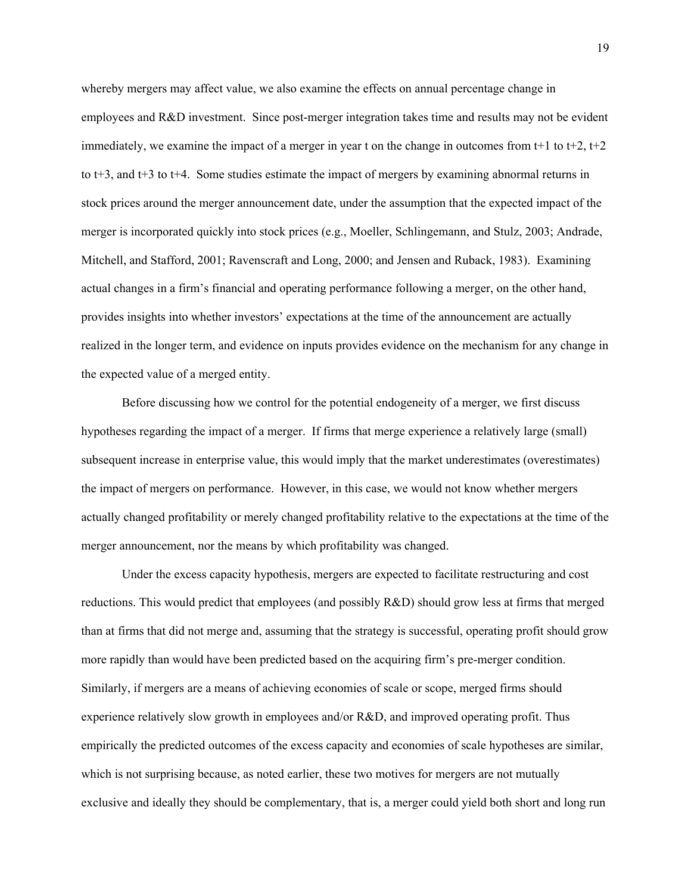whereby mergers may affect value, we also examine the effects on annual percentage change in employees and R&D investment. Since post-merger integration takes time and results may not be evident immediately, we examine the impact of a merger in year t on the change in outcomes from  $t+1$  to  $t+2$ ,  $t+2$ to t+3, and t+3 to t+4. Some studies estimate the impact of mergers by examining abnormal returns in stock prices around the merger announcement date, under the assumption that the expected impact of the merger is incorporated quickly into stock prices (e.g., Moeller, Schlingemann, and Stulz, 2003; Andrade, Mitchell, and Stafford, 2001; Ravenscraft and Long, 2000; and Jensen and Ruback, 1983). Examining actual changes in a firm's financial and operating performance following a merger, on the other hand, provides insights into whether investors' expectations at the time of the announcement are actually realized in the longer term, and evidence on inputs provides evidence on the mechanism for any change in the expected value of a merged entity.

Before discussing how we control for the potential endogeneity of a merger, we first discuss hypotheses regarding the impact of a merger. If firms that merge experience a relatively large (small) subsequent increase in enterprise value, this would imply that the market underestimates (overestimates) the impact of mergers on performance. However, in this case, we would not know whether mergers actually changed profitability or merely changed profitability relative to the expectations at the time of the merger announcement, nor the means by which profitability was changed.

Under the excess capacity hypothesis, mergers are expected to facilitate restructuring and cost reductions. This would predict that employees (and possibly R&D) should grow less at firms that merged than at firms that did not merge and, assuming that the strategy is successful, operating profit should grow more rapidly than would have been predicted based on the acquiring firm's pre-merger condition. Similarly, if mergers are a means of achieving economies of scale or scope, merged firms should experience relatively slow growth in employees and/or R&D, and improved operating profit. Thus empirically the predicted outcomes of the excess capacity and economies of scale hypotheses are similar, which is not surprising because, as noted earlier, these two motives for mergers are not mutually exclusive and ideally they should be complementary, that is, a merger could yield both short and long run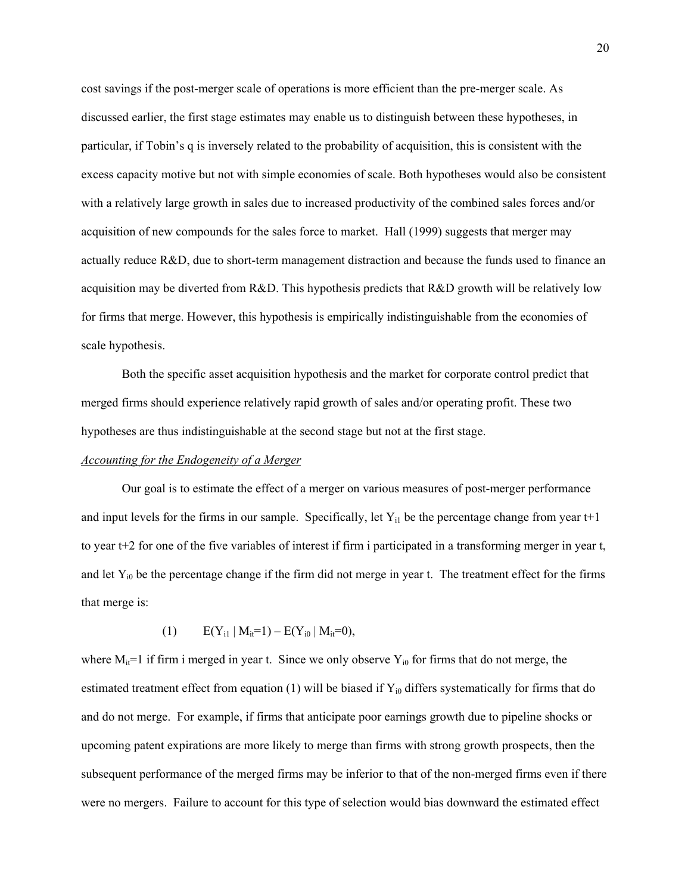cost savings if the post-merger scale of operations is more efficient than the pre-merger scale. As discussed earlier, the first stage estimates may enable us to distinguish between these hypotheses, in particular, if Tobin's q is inversely related to the probability of acquisition, this is consistent with the excess capacity motive but not with simple economies of scale. Both hypotheses would also be consistent with a relatively large growth in sales due to increased productivity of the combined sales forces and/or acquisition of new compounds for the sales force to market. Hall (1999) suggests that merger may actually reduce R&D, due to short-term management distraction and because the funds used to finance an acquisition may be diverted from R&D. This hypothesis predicts that R&D growth will be relatively low for firms that merge. However, this hypothesis is empirically indistinguishable from the economies of scale hypothesis.

Both the specific asset acquisition hypothesis and the market for corporate control predict that merged firms should experience relatively rapid growth of sales and/or operating profit. These two hypotheses are thus indistinguishable at the second stage but not at the first stage.

## *Accounting for the Endogeneity of a Merger*

 Our goal is to estimate the effect of a merger on various measures of post-merger performance and input levels for the firms in our sample. Specifically, let  $Y_{i,j}$  be the percentage change from year t+1 to year t+2 for one of the five variables of interest if firm i participated in a transforming merger in year t, and let  $Y_{i0}$  be the percentage change if the firm did not merge in year t. The treatment effect for the firms that merge is:

(1) 
$$
E(Y_{i1} | M_{it} = 1) - E(Y_{i0} | M_{it} = 0),
$$

where  $M_{ii}=1$  if firm i merged in year t. Since we only observe  $Y_{i0}$  for firms that do not merge, the estimated treatment effect from equation (1) will be biased if  $Y_{i0}$  differs systematically for firms that do and do not merge. For example, if firms that anticipate poor earnings growth due to pipeline shocks or upcoming patent expirations are more likely to merge than firms with strong growth prospects, then the subsequent performance of the merged firms may be inferior to that of the non-merged firms even if there were no mergers. Failure to account for this type of selection would bias downward the estimated effect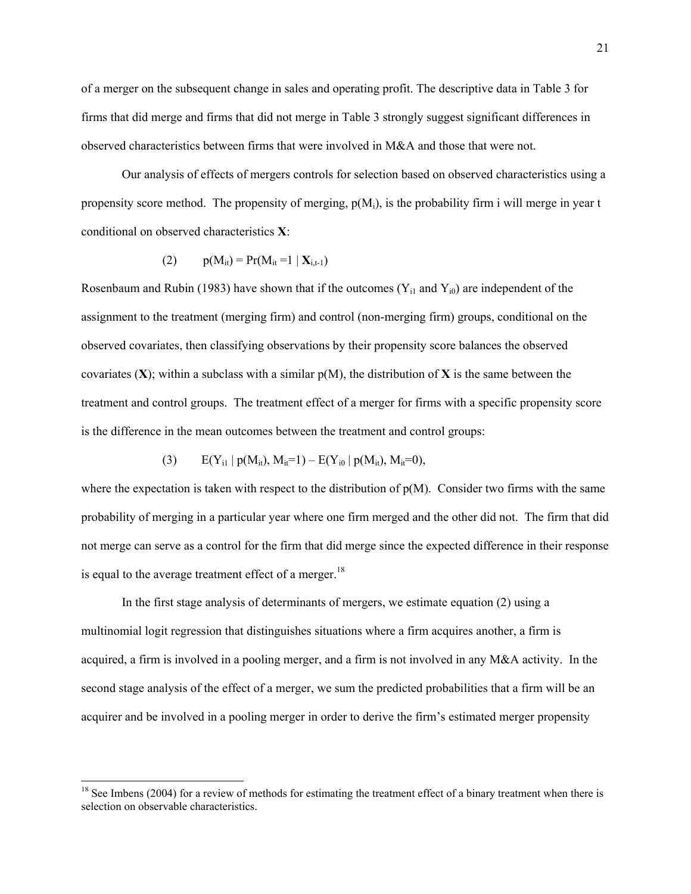of a merger on the subsequent change in sales and operating profit. The descriptive data in Table 3 for firms that did merge and firms that did not merge in Table 3 strongly suggest significant differences in observed characteristics between firms that were involved in M&A and those that were not.

 Our analysis of effects of mergers controls for selection based on observed characteristics using a propensity score method. The propensity of merging,  $p(M<sub>i</sub>)$ , is the probability firm i will merge in year t conditional on observed characteristics **X**:

(2) 
$$
p(M_{it}) = Pr(M_{it} = 1 | X_{i,t-1})
$$

Rosenbaum and Rubin (1983) have shown that if the outcomes ( $Y_{i1}$  and  $Y_{i0}$ ) are independent of the assignment to the treatment (merging firm) and control (non-merging firm) groups, conditional on the observed covariates, then classifying observations by their propensity score balances the observed covariates  $(X)$ ; within a subclass with a similar  $p(M)$ , the distribution of  $X$  is the same between the treatment and control groups. The treatment effect of a merger for firms with a specific propensity score is the difference in the mean outcomes between the treatment and control groups:

(3) 
$$
E(Y_{i1} | p(M_{it}), M_{it} = 1) - E(Y_{i0} | p(M_{it}), M_{it} = 0),
$$

where the expectation is taken with respect to the distribution of  $p(M)$ . Consider two firms with the same probability of merging in a particular year where one firm merged and the other did not. The firm that did not merge can serve as a control for the firm that did merge since the expected difference in their response is equal to the average treatment effect of a merger.<sup>18</sup>

In the first stage analysis of determinants of mergers, we estimate equation (2) using a multinomial logit regression that distinguishes situations where a firm acquires another, a firm is acquired, a firm is involved in a pooling merger, and a firm is not involved in any M&A activity. In the second stage analysis of the effect of a merger, we sum the predicted probabilities that a firm will be an acquirer and be involved in a pooling merger in order to derive the firm's estimated merger propensity

<sup>&</sup>lt;sup>18</sup> See Imbens (2004) for a review of methods for estimating the treatment effect of a binary treatment when there is selection on observable characteristics.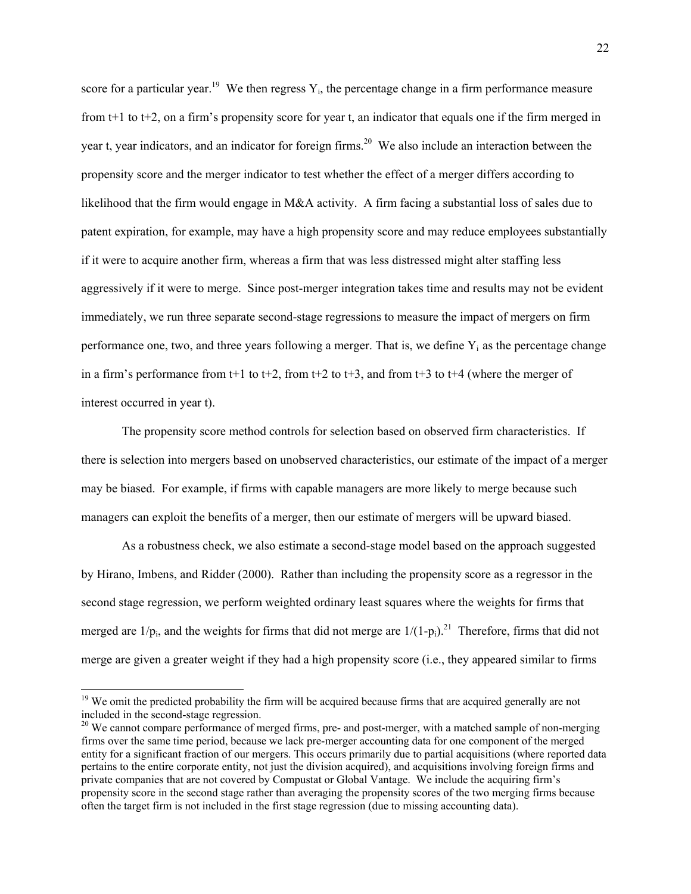score for a particular year.<sup>19</sup> We then regress  $Y_i$ , the percentage change in a firm performance measure from t+1 to t+2, on a firm's propensity score for year t, an indicator that equals one if the firm merged in year t, year indicators, and an indicator for foreign firms.<sup>20</sup> We also include an interaction between the propensity score and the merger indicator to test whether the effect of a merger differs according to likelihood that the firm would engage in M&A activity. A firm facing a substantial loss of sales due to patent expiration, for example, may have a high propensity score and may reduce employees substantially if it were to acquire another firm, whereas a firm that was less distressed might alter staffing less aggressively if it were to merge. Since post-merger integration takes time and results may not be evident immediately, we run three separate second-stage regressions to measure the impact of mergers on firm performance one, two, and three years following a merger. That is, we define  $Y_i$  as the percentage change in a firm's performance from t+1 to t+2, from t+2 to t+3, and from t+3 to t+4 (where the merger of interest occurred in year t).

The propensity score method controls for selection based on observed firm characteristics. If there is selection into mergers based on unobserved characteristics, our estimate of the impact of a merger may be biased. For example, if firms with capable managers are more likely to merge because such managers can exploit the benefits of a merger, then our estimate of mergers will be upward biased.

As a robustness check, we also estimate a second-stage model based on the approach suggested by Hirano, Imbens, and Ridder (2000). Rather than including the propensity score as a regressor in the second stage regression, we perform weighted ordinary least squares where the weights for firms that merged are  $1/p_i$ , and the weights for firms that did not merge are  $1/(1-p_i)^{21}$ . Therefore, firms that did not merge are given a greater weight if they had a high propensity score (i.e., they appeared similar to firms

<sup>&</sup>lt;sup>19</sup> We omit the predicted probability the firm will be acquired because firms that are acquired generally are not included in the second-stage regression.

<sup>&</sup>lt;sup>20</sup> We cannot compare performance of merged firms, pre- and post-merger, with a matched sample of non-merging firms over the same time period, because we lack pre-merger accounting data for one component of the merged entity for a significant fraction of our mergers. This occurs primarily due to partial acquisitions (where reported data pertains to the entire corporate entity, not just the division acquired), and acquisitions involving foreign firms and private companies that are not covered by Compustat or Global Vantage. We include the acquiring firm's propensity score in the second stage rather than averaging the propensity scores of the two merging firms because often the target firm is not included in the first stage regression (due to missing accounting data).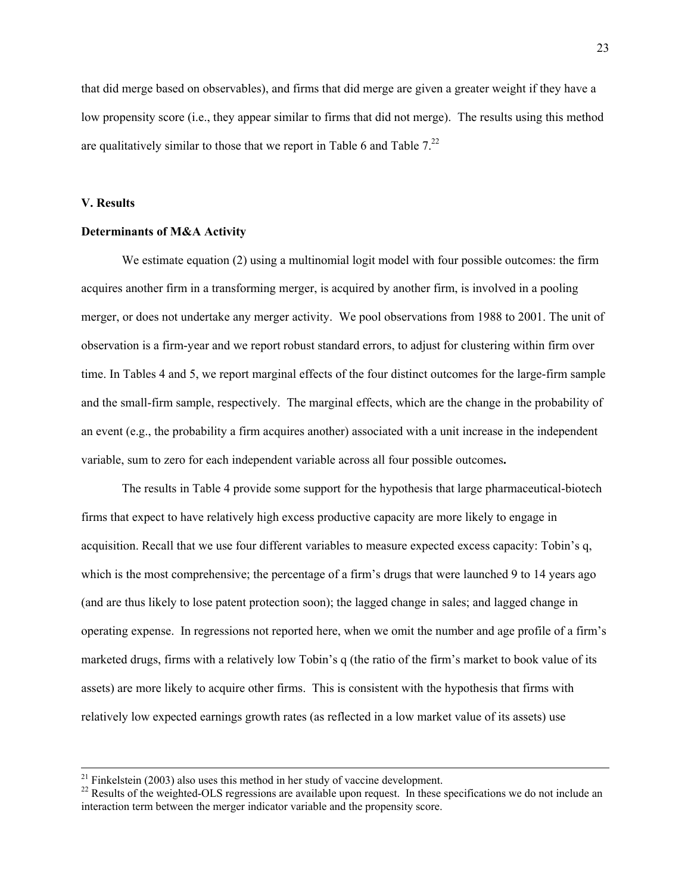that did merge based on observables), and firms that did merge are given a greater weight if they have a low propensity score (i.e., they appear similar to firms that did not merge). The results using this method are qualitatively similar to those that we report in Table 6 and Table  $7<sup>22</sup>$ 

#### **V. Results**

#### **Determinants of M&A Activity**

We estimate equation (2) using a multinomial logit model with four possible outcomes: the firm acquires another firm in a transforming merger, is acquired by another firm, is involved in a pooling merger, or does not undertake any merger activity. We pool observations from 1988 to 2001. The unit of observation is a firm-year and we report robust standard errors, to adjust for clustering within firm over time. In Tables 4 and 5, we report marginal effects of the four distinct outcomes for the large-firm sample and the small-firm sample, respectively. The marginal effects, which are the change in the probability of an event (e.g., the probability a firm acquires another) associated with a unit increase in the independent variable, sum to zero for each independent variable across all four possible outcomes**.** 

The results in Table 4 provide some support for the hypothesis that large pharmaceutical-biotech firms that expect to have relatively high excess productive capacity are more likely to engage in acquisition. Recall that we use four different variables to measure expected excess capacity: Tobin's q, which is the most comprehensive; the percentage of a firm's drugs that were launched 9 to 14 years ago (and are thus likely to lose patent protection soon); the lagged change in sales; and lagged change in operating expense. In regressions not reported here, when we omit the number and age profile of a firm's marketed drugs, firms with a relatively low Tobin's q (the ratio of the firm's market to book value of its assets) are more likely to acquire other firms. This is consistent with the hypothesis that firms with relatively low expected earnings growth rates (as reflected in a low market value of its assets) use

 $21$  Finkelstein (2003) also uses this method in her study of vaccine development.

<sup>&</sup>lt;sup>22</sup> Results of the weighted-OLS regressions are available upon request. In these specifications we do not include an interaction term between the merger indicator variable and the propensity score.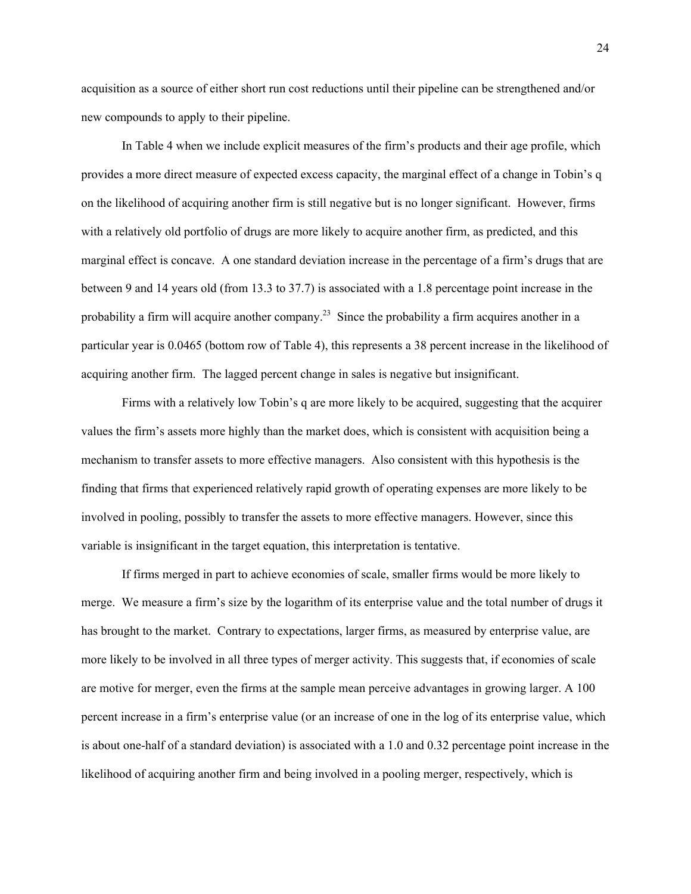acquisition as a source of either short run cost reductions until their pipeline can be strengthened and/or new compounds to apply to their pipeline.

In Table 4 when we include explicit measures of the firm's products and their age profile, which provides a more direct measure of expected excess capacity, the marginal effect of a change in Tobin's q on the likelihood of acquiring another firm is still negative but is no longer significant. However, firms with a relatively old portfolio of drugs are more likely to acquire another firm, as predicted, and this marginal effect is concave. A one standard deviation increase in the percentage of a firm's drugs that are between 9 and 14 years old (from 13.3 to 37.7) is associated with a 1.8 percentage point increase in the probability a firm will acquire another company.<sup>23</sup> Since the probability a firm acquires another in a particular year is 0.0465 (bottom row of Table 4), this represents a 38 percent increase in the likelihood of acquiring another firm. The lagged percent change in sales is negative but insignificant.

Firms with a relatively low Tobin's q are more likely to be acquired, suggesting that the acquirer values the firm's assets more highly than the market does, which is consistent with acquisition being a mechanism to transfer assets to more effective managers. Also consistent with this hypothesis is the finding that firms that experienced relatively rapid growth of operating expenses are more likely to be involved in pooling, possibly to transfer the assets to more effective managers. However, since this variable is insignificant in the target equation, this interpretation is tentative.

 If firms merged in part to achieve economies of scale, smaller firms would be more likely to merge. We measure a firm's size by the logarithm of its enterprise value and the total number of drugs it has brought to the market. Contrary to expectations, larger firms, as measured by enterprise value, are more likely to be involved in all three types of merger activity. This suggests that, if economies of scale are motive for merger, even the firms at the sample mean perceive advantages in growing larger. A 100 percent increase in a firm's enterprise value (or an increase of one in the log of its enterprise value, which is about one-half of a standard deviation) is associated with a 1.0 and 0.32 percentage point increase in the likelihood of acquiring another firm and being involved in a pooling merger, respectively, which is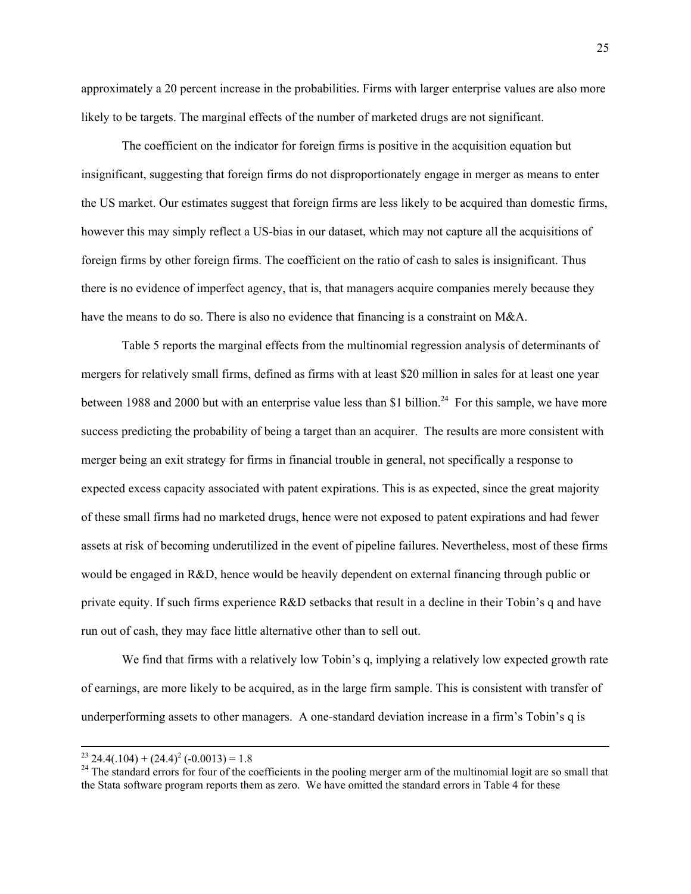approximately a 20 percent increase in the probabilities. Firms with larger enterprise values are also more likely to be targets. The marginal effects of the number of marketed drugs are not significant.

 The coefficient on the indicator for foreign firms is positive in the acquisition equation but insignificant, suggesting that foreign firms do not disproportionately engage in merger as means to enter the US market. Our estimates suggest that foreign firms are less likely to be acquired than domestic firms, however this may simply reflect a US-bias in our dataset, which may not capture all the acquisitions of foreign firms by other foreign firms. The coefficient on the ratio of cash to sales is insignificant. Thus there is no evidence of imperfect agency, that is, that managers acquire companies merely because they have the means to do so. There is also no evidence that financing is a constraint on M&A.

 Table 5 reports the marginal effects from the multinomial regression analysis of determinants of mergers for relatively small firms, defined as firms with at least \$20 million in sales for at least one year between 1988 and 2000 but with an enterprise value less than \$1 billion.<sup>24</sup> For this sample, we have more success predicting the probability of being a target than an acquirer. The results are more consistent with merger being an exit strategy for firms in financial trouble in general, not specifically a response to expected excess capacity associated with patent expirations. This is as expected, since the great majority of these small firms had no marketed drugs, hence were not exposed to patent expirations and had fewer assets at risk of becoming underutilized in the event of pipeline failures. Nevertheless, most of these firms would be engaged in R&D, hence would be heavily dependent on external financing through public or private equity. If such firms experience R&D setbacks that result in a decline in their Tobin's q and have run out of cash, they may face little alternative other than to sell out.

We find that firms with a relatively low Tobin's q, implying a relatively low expected growth rate of earnings, are more likely to be acquired, as in the large firm sample. This is consistent with transfer of underperforming assets to other managers. A one-standard deviation increase in a firm's Tobin's q is

<sup>&</sup>lt;sup>23</sup> 24.4(.104) + (24.4)<sup>2</sup> (-0.0013) = 1.8

<sup>&</sup>lt;sup>24</sup> The standard errors for four of the coefficients in the pooling merger arm of the multinomial logit are so small that the Stata software program reports them as zero. We have omitted the standard errors in Table 4 for these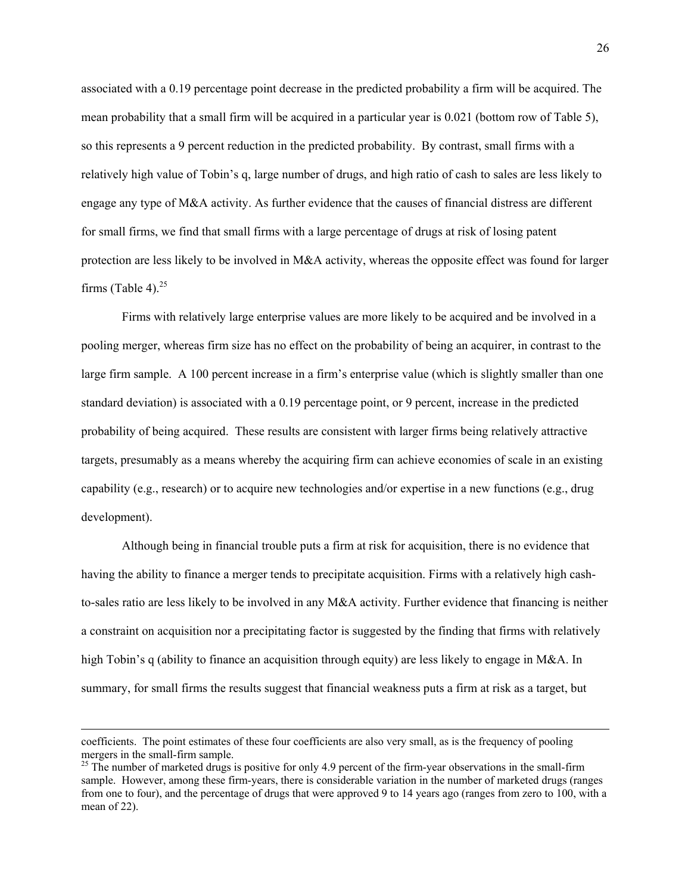associated with a 0.19 percentage point decrease in the predicted probability a firm will be acquired. The mean probability that a small firm will be acquired in a particular year is 0.021 (bottom row of Table 5), so this represents a 9 percent reduction in the predicted probability. By contrast, small firms with a relatively high value of Tobin's q, large number of drugs, and high ratio of cash to sales are less likely to engage any type of M&A activity. As further evidence that the causes of financial distress are different for small firms, we find that small firms with a large percentage of drugs at risk of losing patent protection are less likely to be involved in M&A activity, whereas the opposite effect was found for larger firms (Table 4). $^{25}$ 

 Firms with relatively large enterprise values are more likely to be acquired and be involved in a pooling merger, whereas firm size has no effect on the probability of being an acquirer, in contrast to the large firm sample. A 100 percent increase in a firm's enterprise value (which is slightly smaller than one standard deviation) is associated with a 0.19 percentage point, or 9 percent, increase in the predicted probability of being acquired. These results are consistent with larger firms being relatively attractive targets, presumably as a means whereby the acquiring firm can achieve economies of scale in an existing capability (e.g., research) or to acquire new technologies and/or expertise in a new functions (e.g., drug development).

Although being in financial trouble puts a firm at risk for acquisition, there is no evidence that having the ability to finance a merger tends to precipitate acquisition. Firms with a relatively high cashto-sales ratio are less likely to be involved in any M&A activity. Further evidence that financing is neither a constraint on acquisition nor a precipitating factor is suggested by the finding that firms with relatively high Tobin's q (ability to finance an acquisition through equity) are less likely to engage in M&A. In summary, for small firms the results suggest that financial weakness puts a firm at risk as a target, but

coefficients. The point estimates of these four coefficients are also very small, as is the frequency of pooling mergers in the small-firm sample.

<sup>&</sup>lt;sup>25</sup> The number of marketed drugs is positive for only 4.9 percent of the firm-year observations in the small-firm sample. However, among these firm-years, there is considerable variation in the number of marketed drugs (ranges from one to four), and the percentage of drugs that were approved 9 to 14 years ago (ranges from zero to 100, with a mean of 22).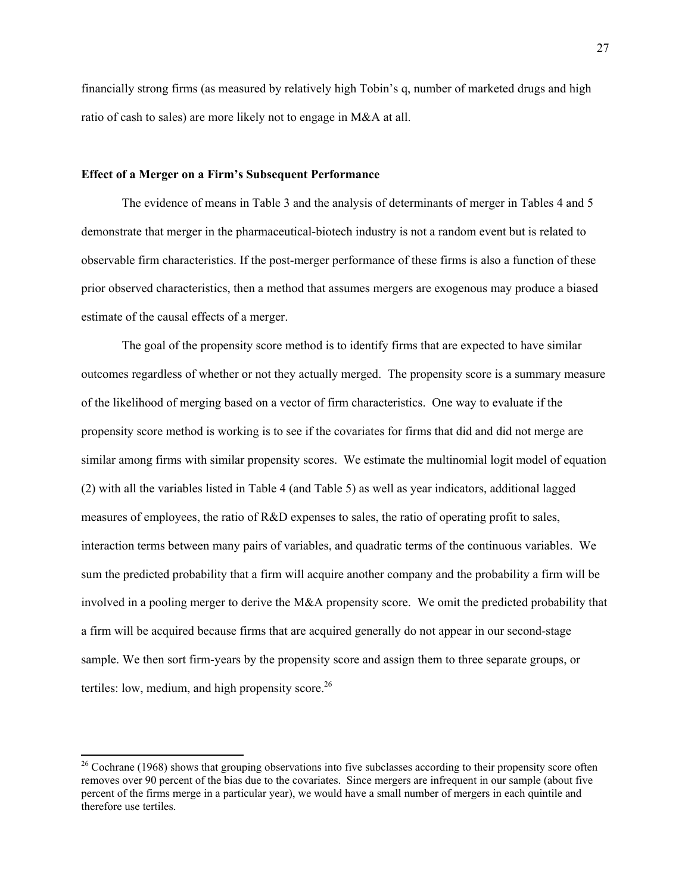financially strong firms (as measured by relatively high Tobin's q, number of marketed drugs and high ratio of cash to sales) are more likely not to engage in M&A at all.

### **Effect of a Merger on a Firm's Subsequent Performance**

l

The evidence of means in Table 3 and the analysis of determinants of merger in Tables 4 and 5 demonstrate that merger in the pharmaceutical-biotech industry is not a random event but is related to observable firm characteristics. If the post-merger performance of these firms is also a function of these prior observed characteristics, then a method that assumes mergers are exogenous may produce a biased estimate of the causal effects of a merger.

The goal of the propensity score method is to identify firms that are expected to have similar outcomes regardless of whether or not they actually merged. The propensity score is a summary measure of the likelihood of merging based on a vector of firm characteristics. One way to evaluate if the propensity score method is working is to see if the covariates for firms that did and did not merge are similar among firms with similar propensity scores. We estimate the multinomial logit model of equation (2) with all the variables listed in Table 4 (and Table 5) as well as year indicators, additional lagged measures of employees, the ratio of R&D expenses to sales, the ratio of operating profit to sales, interaction terms between many pairs of variables, and quadratic terms of the continuous variables. We sum the predicted probability that a firm will acquire another company and the probability a firm will be involved in a pooling merger to derive the M&A propensity score. We omit the predicted probability that a firm will be acquired because firms that are acquired generally do not appear in our second-stage sample. We then sort firm-years by the propensity score and assign them to three separate groups, or tertiles: low, medium, and high propensity score. $26$ 

 $26$  Cochrane (1968) shows that grouping observations into five subclasses according to their propensity score often removes over 90 percent of the bias due to the covariates. Since mergers are infrequent in our sample (about five percent of the firms merge in a particular year), we would have a small number of mergers in each quintile and therefore use tertiles.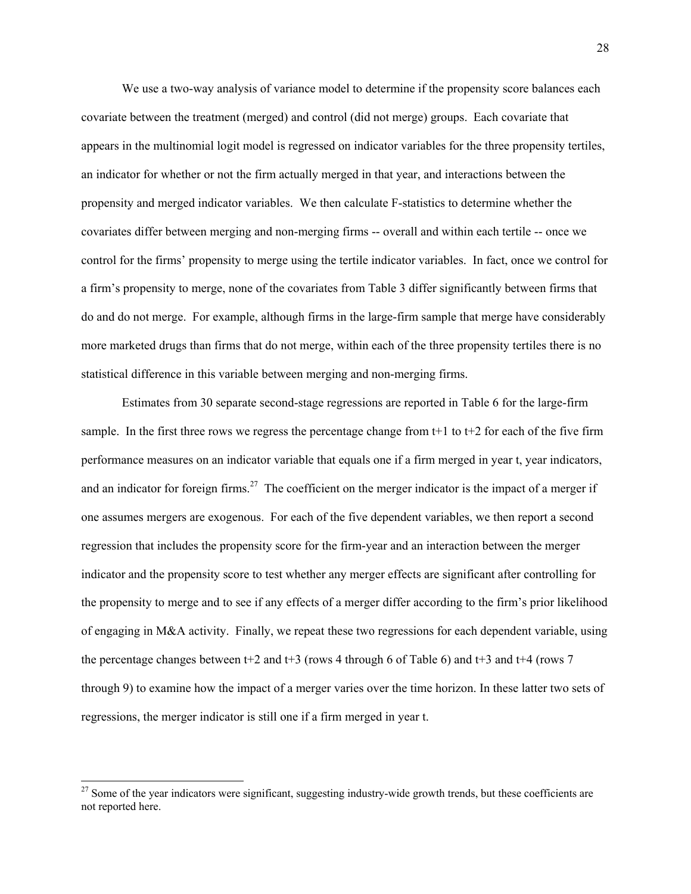We use a two-way analysis of variance model to determine if the propensity score balances each covariate between the treatment (merged) and control (did not merge) groups. Each covariate that appears in the multinomial logit model is regressed on indicator variables for the three propensity tertiles, an indicator for whether or not the firm actually merged in that year, and interactions between the propensity and merged indicator variables. We then calculate F-statistics to determine whether the covariates differ between merging and non-merging firms -- overall and within each tertile -- once we control for the firms' propensity to merge using the tertile indicator variables. In fact, once we control for a firm's propensity to merge, none of the covariates from Table 3 differ significantly between firms that do and do not merge. For example, although firms in the large-firm sample that merge have considerably more marketed drugs than firms that do not merge, within each of the three propensity tertiles there is no statistical difference in this variable between merging and non-merging firms.

 Estimates from 30 separate second-stage regressions are reported in Table 6 for the large-firm sample. In the first three rows we regress the percentage change from  $t+1$  to  $t+2$  for each of the five firm performance measures on an indicator variable that equals one if a firm merged in year t, year indicators, and an indicator for foreign firms.<sup>27</sup> The coefficient on the merger indicator is the impact of a merger if one assumes mergers are exogenous. For each of the five dependent variables, we then report a second regression that includes the propensity score for the firm-year and an interaction between the merger indicator and the propensity score to test whether any merger effects are significant after controlling for the propensity to merge and to see if any effects of a merger differ according to the firm's prior likelihood of engaging in M&A activity. Finally, we repeat these two regressions for each dependent variable, using the percentage changes between  $t+2$  and  $t+3$  (rows 4 through 6 of Table 6) and  $t+3$  and  $t+4$  (rows 7 through 9) to examine how the impact of a merger varies over the time horizon. In these latter two sets of regressions, the merger indicator is still one if a firm merged in year t.

<sup>&</sup>lt;sup>27</sup> Some of the year indicators were significant, suggesting industry-wide growth trends, but these coefficients are not reported here.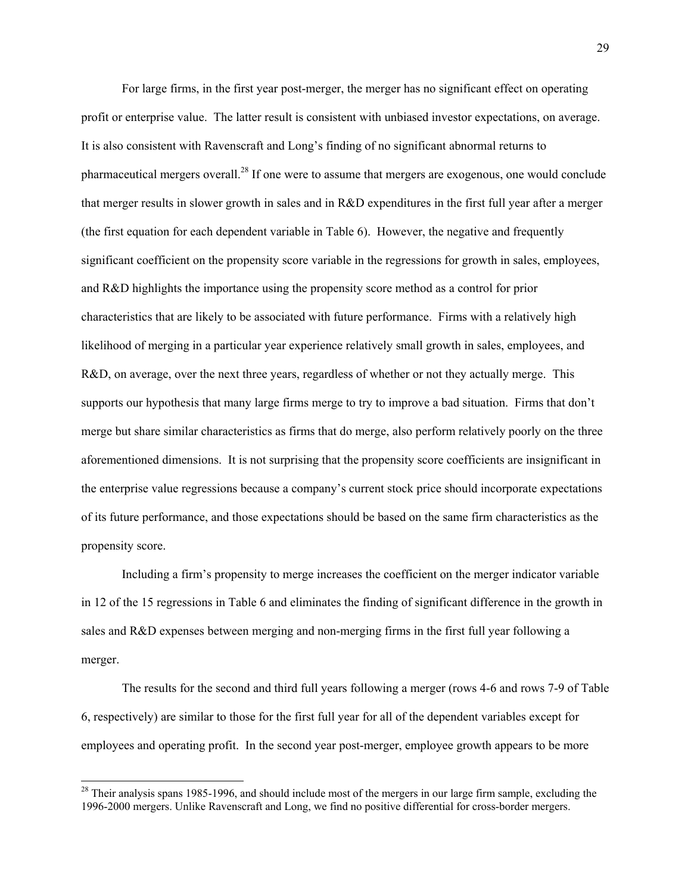For large firms, in the first year post-merger, the merger has no significant effect on operating profit or enterprise value. The latter result is consistent with unbiased investor expectations, on average. It is also consistent with Ravenscraft and Long's finding of no significant abnormal returns to pharmaceutical mergers overall.<sup>28</sup> If one were to assume that mergers are exogenous, one would conclude that merger results in slower growth in sales and in R&D expenditures in the first full year after a merger (the first equation for each dependent variable in Table 6). However, the negative and frequently significant coefficient on the propensity score variable in the regressions for growth in sales, employees, and R&D highlights the importance using the propensity score method as a control for prior characteristics that are likely to be associated with future performance. Firms with a relatively high likelihood of merging in a particular year experience relatively small growth in sales, employees, and R&D, on average, over the next three years, regardless of whether or not they actually merge. This supports our hypothesis that many large firms merge to try to improve a bad situation. Firms that don't merge but share similar characteristics as firms that do merge, also perform relatively poorly on the three aforementioned dimensions. It is not surprising that the propensity score coefficients are insignificant in the enterprise value regressions because a company's current stock price should incorporate expectations of its future performance, and those expectations should be based on the same firm characteristics as the propensity score.

Including a firm's propensity to merge increases the coefficient on the merger indicator variable in 12 of the 15 regressions in Table 6 and eliminates the finding of significant difference in the growth in sales and R&D expenses between merging and non-merging firms in the first full year following a merger.

The results for the second and third full years following a merger (rows 4-6 and rows 7-9 of Table 6, respectively) are similar to those for the first full year for all of the dependent variables except for employees and operating profit. In the second year post-merger, employee growth appears to be more

 $28$  Their analysis spans 1985-1996, and should include most of the mergers in our large firm sample, excluding the 1996-2000 mergers. Unlike Ravenscraft and Long, we find no positive differential for cross-border mergers.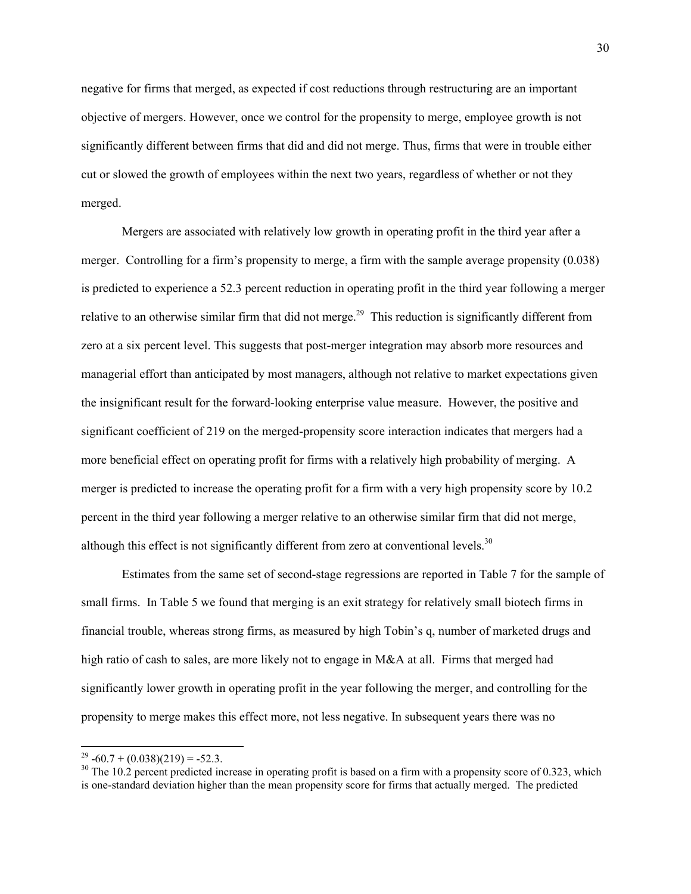negative for firms that merged, as expected if cost reductions through restructuring are an important objective of mergers. However, once we control for the propensity to merge, employee growth is not significantly different between firms that did and did not merge. Thus, firms that were in trouble either cut or slowed the growth of employees within the next two years, regardless of whether or not they merged.

Mergers are associated with relatively low growth in operating profit in the third year after a merger. Controlling for a firm's propensity to merge, a firm with the sample average propensity (0.038) is predicted to experience a 52.3 percent reduction in operating profit in the third year following a merger relative to an otherwise similar firm that did not merge.<sup>29</sup> This reduction is significantly different from zero at a six percent level. This suggests that post-merger integration may absorb more resources and managerial effort than anticipated by most managers, although not relative to market expectations given the insignificant result for the forward-looking enterprise value measure.However, the positive and significant coefficient of 219 on the merged-propensity score interaction indicates that mergers had a more beneficial effect on operating profit for firms with a relatively high probability of merging. A merger is predicted to increase the operating profit for a firm with a very high propensity score by 10.2 percent in the third year following a merger relative to an otherwise similar firm that did not merge, although this effect is not significantly different from zero at conventional levels. $30$ 

Estimates from the same set of second-stage regressions are reported in Table 7 for the sample of small firms. In Table 5 we found that merging is an exit strategy for relatively small biotech firms in financial trouble, whereas strong firms, as measured by high Tobin's q, number of marketed drugs and high ratio of cash to sales, are more likely not to engage in M&A at all. Firms that merged had significantly lower growth in operating profit in the year following the merger, and controlling for the propensity to merge makes this effect more, not less negative. In subsequent years there was no

 $29 -60.7 + (0.038)(219) = -52.3$ .

 $30$  The 10.2 percent predicted increase in operating profit is based on a firm with a propensity score of 0.323, which is one-standard deviation higher than the mean propensity score for firms that actually merged. The predicted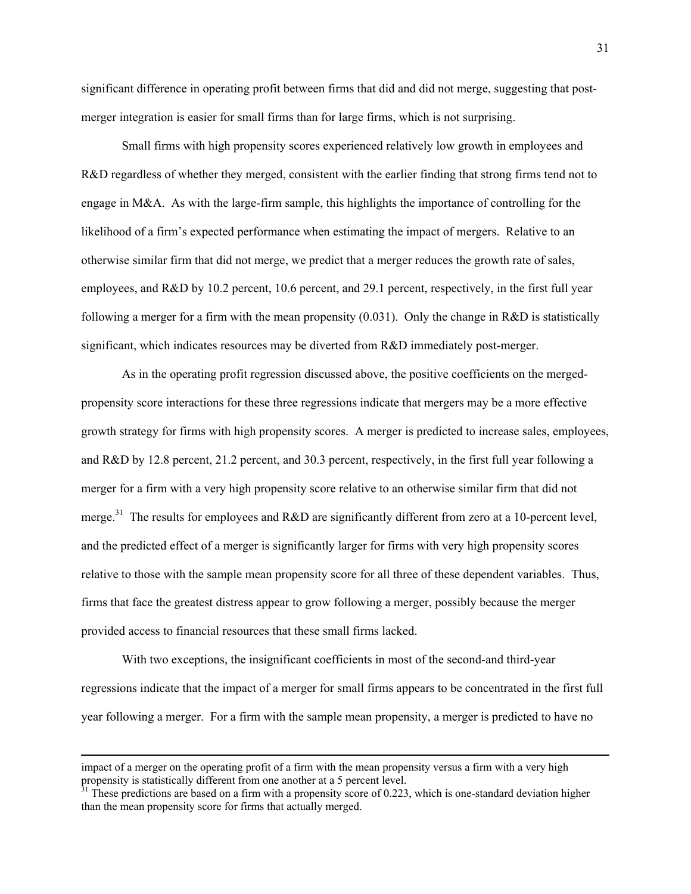significant difference in operating profit between firms that did and did not merge, suggesting that postmerger integration is easier for small firms than for large firms, which is not surprising.

Small firms with high propensity scores experienced relatively low growth in employees and R&D regardless of whether they merged, consistent with the earlier finding that strong firms tend not to engage in M&A. As with the large-firm sample, this highlights the importance of controlling for the likelihood of a firm's expected performance when estimating the impact of mergers. Relative to an otherwise similar firm that did not merge, we predict that a merger reduces the growth rate of sales, employees, and R&D by 10.2 percent, 10.6 percent, and 29.1 percent, respectively, in the first full year following a merger for a firm with the mean propensity (0.031). Only the change in R&D is statistically significant, which indicates resources may be diverted from R&D immediately post-merger.

As in the operating profit regression discussed above, the positive coefficients on the mergedpropensity score interactions for these three regressions indicate that mergers may be a more effective growth strategy for firms with high propensity scores. A merger is predicted to increase sales, employees, and R&D by 12.8 percent, 21.2 percent, and 30.3 percent, respectively, in the first full year following a merger for a firm with a very high propensity score relative to an otherwise similar firm that did not merge.<sup>31</sup> The results for employees and R&D are significantly different from zero at a 10-percent level, and the predicted effect of a merger is significantly larger for firms with very high propensity scores relative to those with the sample mean propensity score for all three of these dependent variables. Thus, firms that face the greatest distress appear to grow following a merger, possibly because the merger provided access to financial resources that these small firms lacked.

With two exceptions, the insignificant coefficients in most of the second-and third-year regressions indicate that the impact of a merger for small firms appears to be concentrated in the first full year following a merger. For a firm with the sample mean propensity, a merger is predicted to have no

impact of a merger on the operating profit of a firm with the mean propensity versus a firm with a very high propensity is statistically different from one another at a 5 percent level.

 $31$  These predictions are based on a firm with a propensity score of 0.223, which is one-standard deviation higher than the mean propensity score for firms that actually merged.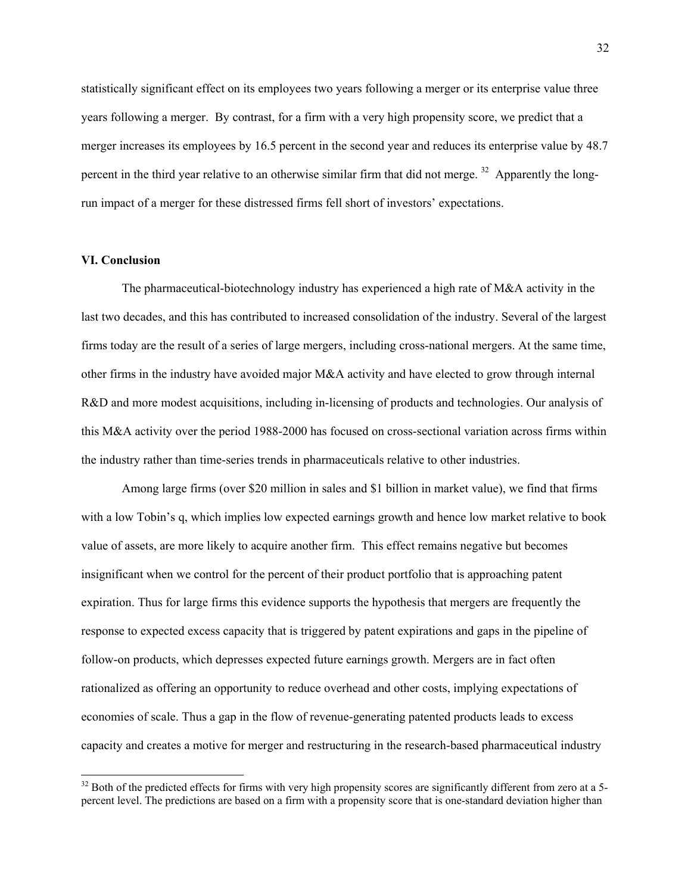statistically significant effect on its employees two years following a merger or its enterprise value three years following a merger. By contrast, for a firm with a very high propensity score, we predict that a merger increases its employees by 16.5 percent in the second year and reduces its enterprise value by 48.7 percent in the third year relative to an otherwise similar firm that did not merge.<sup>32</sup> Apparently the longrun impact of a merger for these distressed firms fell short of investors' expectations.

### **VI. Conclusion**

l

The pharmaceutical-biotechnology industry has experienced a high rate of M&A activity in the last two decades, and this has contributed to increased consolidation of the industry. Several of the largest firms today are the result of a series of large mergers, including cross-national mergers. At the same time, other firms in the industry have avoided major M&A activity and have elected to grow through internal R&D and more modest acquisitions, including in-licensing of products and technologies. Our analysis of this M&A activity over the period 1988-2000 has focused on cross-sectional variation across firms within the industry rather than time-series trends in pharmaceuticals relative to other industries.

Among large firms (over \$20 million in sales and \$1 billion in market value), we find that firms with a low Tobin's q, which implies low expected earnings growth and hence low market relative to book value of assets, are more likely to acquire another firm. This effect remains negative but becomes insignificant when we control for the percent of their product portfolio that is approaching patent expiration. Thus for large firms this evidence supports the hypothesis that mergers are frequently the response to expected excess capacity that is triggered by patent expirations and gaps in the pipeline of follow-on products, which depresses expected future earnings growth. Mergers are in fact often rationalized as offering an opportunity to reduce overhead and other costs, implying expectations of economies of scale. Thus a gap in the flow of revenue-generating patented products leads to excess capacity and creates a motive for merger and restructuring in the research-based pharmaceutical industry

<sup>&</sup>lt;sup>32</sup> Both of the predicted effects for firms with very high propensity scores are significantly different from zero at a 5percent level. The predictions are based on a firm with a propensity score that is one-standard deviation higher than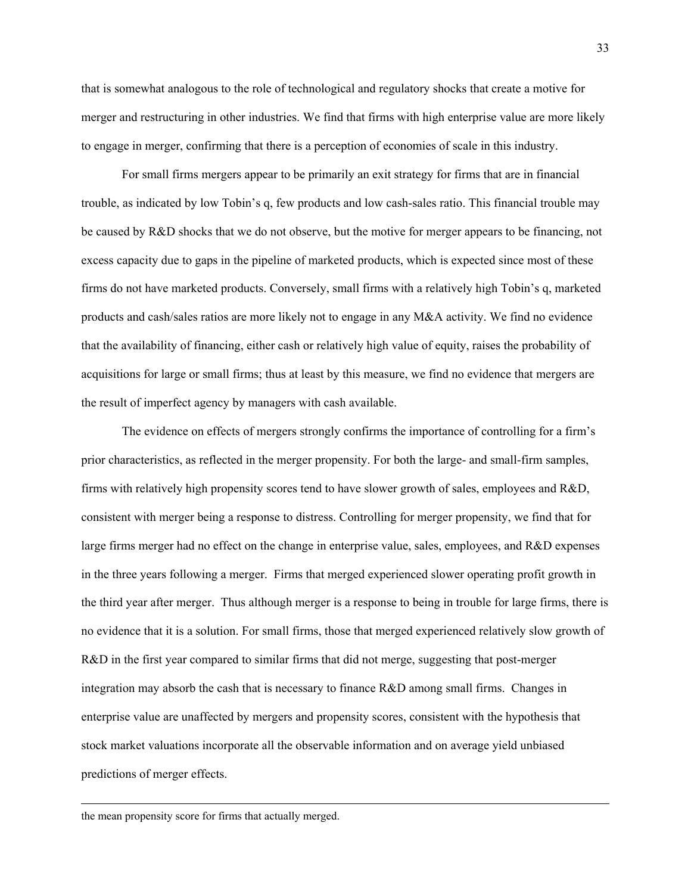that is somewhat analogous to the role of technological and regulatory shocks that create a motive for merger and restructuring in other industries. We find that firms with high enterprise value are more likely to engage in merger, confirming that there is a perception of economies of scale in this industry.

For small firms mergers appear to be primarily an exit strategy for firms that are in financial trouble, as indicated by low Tobin's q, few products and low cash-sales ratio. This financial trouble may be caused by R&D shocks that we do not observe, but the motive for merger appears to be financing, not excess capacity due to gaps in the pipeline of marketed products, which is expected since most of these firms do not have marketed products. Conversely, small firms with a relatively high Tobin's q, marketed products and cash/sales ratios are more likely not to engage in any M&A activity. We find no evidence that the availability of financing, either cash or relatively high value of equity, raises the probability of acquisitions for large or small firms; thus at least by this measure, we find no evidence that mergers are the result of imperfect agency by managers with cash available.

The evidence on effects of mergers strongly confirms the importance of controlling for a firm's prior characteristics, as reflected in the merger propensity. For both the large- and small-firm samples, firms with relatively high propensity scores tend to have slower growth of sales, employees and R&D, consistent with merger being a response to distress. Controlling for merger propensity, we find that for large firms merger had no effect on the change in enterprise value, sales, employees, and R&D expenses in the three years following a merger. Firms that merged experienced slower operating profit growth in the third year after merger. Thus although merger is a response to being in trouble for large firms, there is no evidence that it is a solution. For small firms, those that merged experienced relatively slow growth of R&D in the first year compared to similar firms that did not merge, suggesting that post-merger integration may absorb the cash that is necessary to finance R&D among small firms. Changes in enterprise value are unaffected by mergers and propensity scores, consistent with the hypothesis that stock market valuations incorporate all the observable information and on average yield unbiased predictions of merger effects.

the mean propensity score for firms that actually merged.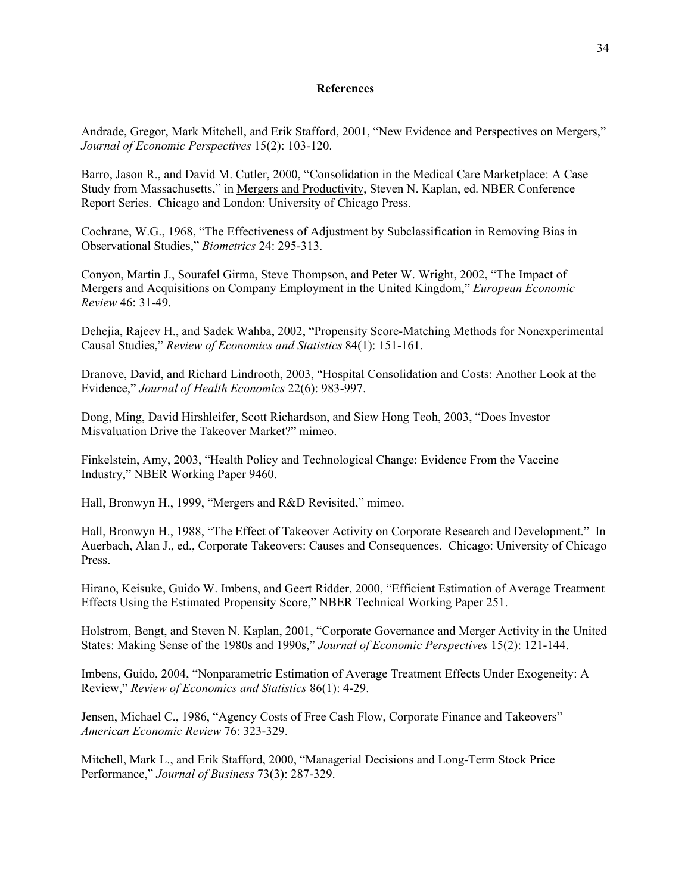#### **References**

Andrade, Gregor, Mark Mitchell, and Erik Stafford, 2001, "New Evidence and Perspectives on Mergers," *Journal of Economic Perspectives* 15(2): 103-120.

Barro, Jason R., and David M. Cutler, 2000, "Consolidation in the Medical Care Marketplace: A Case Study from Massachusetts," in Mergers and Productivity, Steven N. Kaplan, ed. NBER Conference Report Series. Chicago and London: University of Chicago Press.

Cochrane, W.G., 1968, "The Effectiveness of Adjustment by Subclassification in Removing Bias in Observational Studies," *Biometrics* 24: 295-313.

Conyon, Martin J., Sourafel Girma, Steve Thompson, and Peter W. Wright, 2002, "The Impact of Mergers and Acquisitions on Company Employment in the United Kingdom," *European Economic Review* 46: 31-49.

Dehejia, Rajeev H., and Sadek Wahba, 2002, "Propensity Score-Matching Methods for Nonexperimental Causal Studies," *Review of Economics and Statistics* 84(1): 151-161.

Dranove, David, and Richard Lindrooth, 2003, "Hospital Consolidation and Costs: Another Look at the Evidence," *Journal of Health Economics* 22(6): 983-997.

Dong, Ming, David Hirshleifer, Scott Richardson, and Siew Hong Teoh, 2003, "Does Investor Misvaluation Drive the Takeover Market?" mimeo.

Finkelstein, Amy, 2003, "Health Policy and Technological Change: Evidence From the Vaccine Industry," NBER Working Paper 9460.

Hall, Bronwyn H., 1999, "Mergers and R&D Revisited," mimeo.

Hall, Bronwyn H., 1988, "The Effect of Takeover Activity on Corporate Research and Development." In Auerbach, Alan J., ed., Corporate Takeovers: Causes and Consequences. Chicago: University of Chicago Press.

Hirano, Keisuke, Guido W. Imbens, and Geert Ridder, 2000, "Efficient Estimation of Average Treatment Effects Using the Estimated Propensity Score," NBER Technical Working Paper 251.

Holstrom, Bengt, and Steven N. Kaplan, 2001, "Corporate Governance and Merger Activity in the United States: Making Sense of the 1980s and 1990s," *Journal of Economic Perspectives* 15(2): 121-144.

Imbens, Guido, 2004, "Nonparametric Estimation of Average Treatment Effects Under Exogeneity: A Review," *Review of Economics and Statistics* 86(1): 4-29.

Jensen, Michael C., 1986, "Agency Costs of Free Cash Flow, Corporate Finance and Takeovers" *American Economic Review* 76: 323-329.

Mitchell, Mark L., and Erik Stafford, 2000, "Managerial Decisions and Long-Term Stock Price Performance," *Journal of Business* 73(3): 287-329.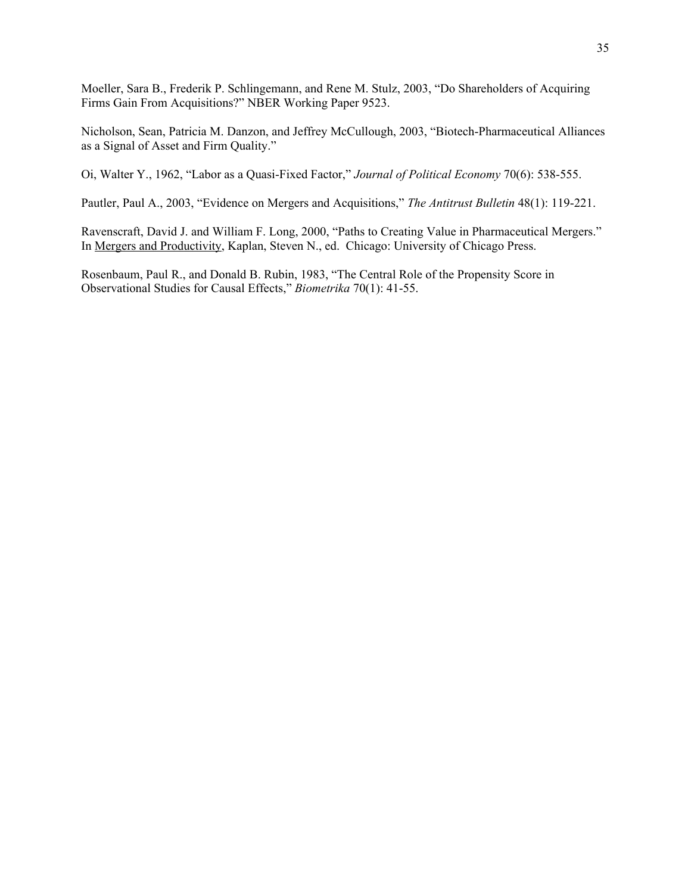Moeller, Sara B., Frederik P. Schlingemann, and Rene M. Stulz, 2003, "Do Shareholders of Acquiring Firms Gain From Acquisitions?" NBER Working Paper 9523.

Nicholson, Sean, Patricia M. Danzon, and Jeffrey McCullough, 2003, "Biotech-Pharmaceutical Alliances as a Signal of Asset and Firm Quality."

Oi, Walter Y., 1962, "Labor as a Quasi-Fixed Factor," *Journal of Political Economy* 70(6): 538-555.

Pautler, Paul A., 2003, "Evidence on Mergers and Acquisitions," *The Antitrust Bulletin* 48(1): 119-221.

Ravenscraft, David J. and William F. Long, 2000, "Paths to Creating Value in Pharmaceutical Mergers." In Mergers and Productivity, Kaplan, Steven N., ed. Chicago: University of Chicago Press.

Rosenbaum, Paul R., and Donald B. Rubin, 1983, "The Central Role of the Propensity Score in Observational Studies for Causal Effects," *Biometrika* 70(1): 41-55.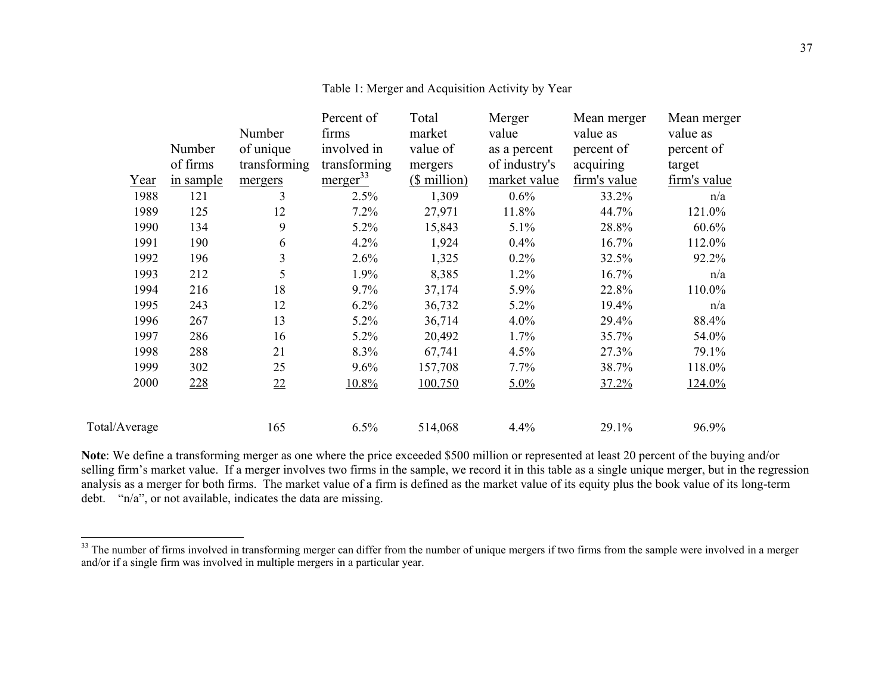|               |           |                         | Percent of           | Total        | Merger        | Mean merger  | Mean merger  |
|---------------|-----------|-------------------------|----------------------|--------------|---------------|--------------|--------------|
|               |           | Number                  | firms                | market       | value         | value as     | value as     |
|               | Number    | of unique               | involved in          | value of     | as a percent  | percent of   | percent of   |
|               | of firms  | transforming            | transforming         | mergers      | of industry's | acquiring    | target       |
| <u>Year</u>   | in sample | mergers                 | merger <sup>33</sup> | $$$ million) | market value  | firm's value | firm's value |
| 1988          | 121       | 3                       | 2.5%                 | 1,309        | $0.6\%$       | 33.2%        | n/a          |
| 1989          | 125       | 12                      | 7.2%                 | 27,971       | 11.8%         | 44.7%        | 121.0%       |
| 1990          | 134       | 9                       | 5.2%                 | 15,843       | 5.1%          | 28.8%        | 60.6%        |
| 1991          | 190       | 6                       | 4.2%                 | 1,924        | $0.4\%$       | 16.7%        | 112.0%       |
| 1992          | 196       | $\overline{\mathbf{3}}$ | 2.6%                 | 1,325        | 0.2%          | 32.5%        | 92.2%        |
| 1993          | 212       | 5                       | 1.9%                 | 8,385        | 1.2%          | 16.7%        | n/a          |
| 1994          | 216       | 18                      | 9.7%                 | 37,174       | 5.9%          | 22.8%        | 110.0%       |
| 1995          | 243       | 12                      | 6.2%                 | 36,732       | 5.2%          | 19.4%        | n/a          |
| 1996          | 267       | 13                      | 5.2%                 | 36,714       | $4.0\%$       | 29.4%        | 88.4%        |
| 1997          | 286       | 16                      | 5.2%                 | 20,492       | 1.7%          | 35.7%        | 54.0%        |
| 1998          | 288       | 21                      | 8.3%                 | 67,741       | 4.5%          | 27.3%        | 79.1%        |
| 1999          | 302       | 25                      | 9.6%                 | 157,708      | $7.7\%$       | 38.7%        | 118.0%       |
| 2000          | 228       | 22                      | 10.8%                | 100,750      | $5.0\%$       | 37.2%        | 124.0%       |
| Total/Average |           | 165                     | 6.5%                 | 514,068      | 4.4%          | 29.1%        | 96.9%        |

## Table 1: Merger and Acquisition Activity by Year

**Note**: We define a transforming merger as one where the price exceeded \$500 million or represented at least 20 percent of the buying and/or selling firm's market value. If a merger involves two firms in the sample, we record it in this table as a single unique merger, but in the regression analysis as a merger for both firms. The market value of a firm is defined as the market value of its equity plus the book value of its long-term debt. "n/a", or not available, indicates the data are missing.

<sup>&</sup>lt;sup>33</sup> The number of firms involved in transforming merger can differ from the number of unique mergers if two firms from the sample were involved in a merger and/or if a single firm was involved in multiple mergers in a particular year.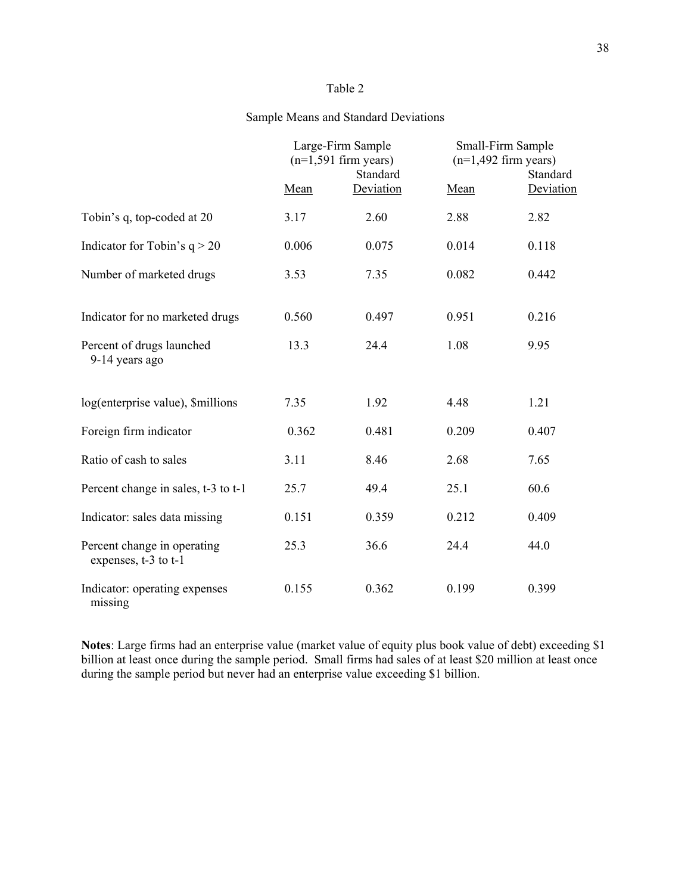## Table 2

### Sample Means and Standard Deviations

|                                                     |       | Large-Firm Sample<br>$(n=1,591$ firm years)<br>Standard |       | Small-Firm Sample<br>$(n=1,492$ firm years)<br>Standard |
|-----------------------------------------------------|-------|---------------------------------------------------------|-------|---------------------------------------------------------|
|                                                     | Mean  | Deviation                                               | Mean  | Deviation                                               |
| Tobin's q, top-coded at 20                          | 3.17  | 2.60                                                    | 2.88  | 2.82                                                    |
| Indicator for Tobin's $q > 20$                      | 0.006 | 0.075                                                   | 0.014 | 0.118                                                   |
| Number of marketed drugs                            | 3.53  | 7.35                                                    | 0.082 | 0.442                                                   |
| Indicator for no marketed drugs                     | 0.560 | 0.497                                                   | 0.951 | 0.216                                                   |
| Percent of drugs launched<br>9-14 years ago         | 13.3  | 24.4                                                    | 1.08  | 9.95                                                    |
| log(enterprise value), \$millions                   | 7.35  | 1.92                                                    | 4.48  | 1.21                                                    |
| Foreign firm indicator                              | 0.362 | 0.481                                                   | 0.209 | 0.407                                                   |
| Ratio of cash to sales                              | 3.11  | 8.46                                                    | 2.68  | 7.65                                                    |
| Percent change in sales, t-3 to t-1                 | 25.7  | 49.4                                                    | 25.1  | 60.6                                                    |
| Indicator: sales data missing                       | 0.151 | 0.359                                                   | 0.212 | 0.409                                                   |
| Percent change in operating<br>expenses, t-3 to t-1 | 25.3  | 36.6                                                    | 24.4  | 44.0                                                    |
| Indicator: operating expenses<br>missing            | 0.155 | 0.362                                                   | 0.199 | 0.399                                                   |

**Notes**: Large firms had an enterprise value (market value of equity plus book value of debt) exceeding \$1 billion at least once during the sample period. Small firms had sales of at least \$20 million at least once during the sample period but never had an enterprise value exceeding \$1 billion.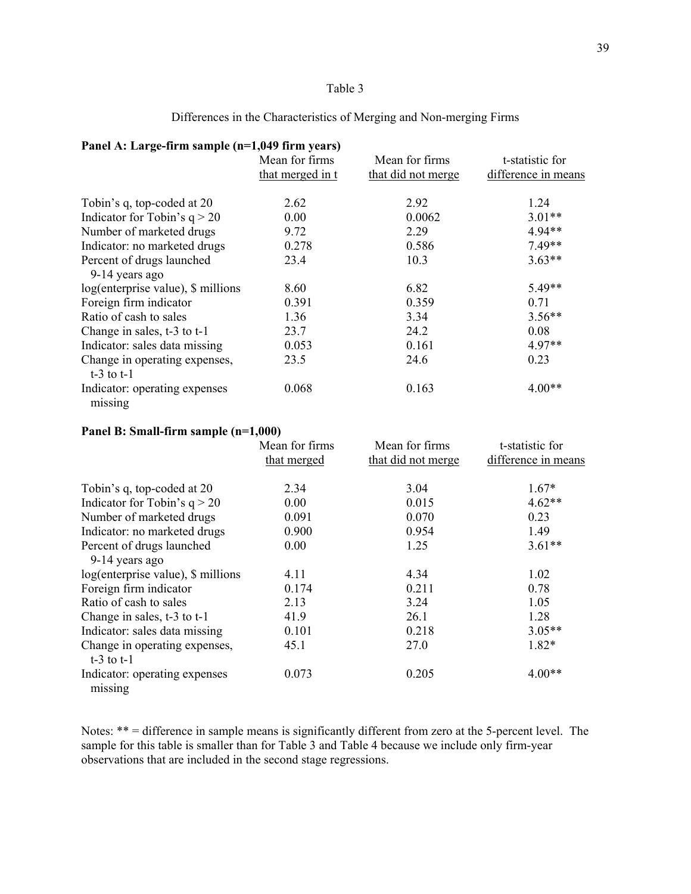## Table 3

| Panel A: Large-firm sample (n=1,049 firm years) |                                    |                                      |                                        |
|-------------------------------------------------|------------------------------------|--------------------------------------|----------------------------------------|
|                                                 | Mean for firms<br>that merged in t | Mean for firms<br>that did not merge | t-statistic for<br>difference in means |
| Tobin's q, top-coded at 20                      | 2.62                               | 2.92                                 | 1.24                                   |
| Indicator for Tobin's $q > 20$                  | 0.00                               | 0.0062                               | $3.01**$                               |
| Number of marketed drugs                        | 9.72                               | 2.29                                 | 4.94**                                 |
| Indicator: no marketed drugs                    | 0.278                              | 0.586                                | 7.49**                                 |
| Percent of drugs launched<br>9-14 years ago     | 23.4                               | 10.3                                 | $3.63**$                               |
| log(enterprise value), \$ millions              | 8.60                               | 6.82                                 | $5.49**$                               |
| Foreign firm indicator                          | 0.391                              | 0.359                                | 0.71                                   |
| Ratio of cash to sales                          | 1.36                               | 3.34                                 | $3.56**$                               |
| Change in sales, t-3 to t-1                     | 23.7                               | 24.2                                 | 0.08                                   |
| Indicator: sales data missing                   | 0.053                              | 0.161                                | $4.97**$                               |
| Change in operating expenses,<br>t-3 to t-1     | 23.5                               | 24.6                                 | 0.23                                   |
| Indicator: operating expenses<br>missing        | 0.068                              | 0.163                                | $4.00**$                               |

### Differences in the Characteristics of Merging and Non-merging Firms

# **Panel B: Small-firm sample (n=1,000)**

|                                             | Mean for firms<br>that merged | Mean for firms<br>that did not merge | t-statistic for<br>difference in means |
|---------------------------------------------|-------------------------------|--------------------------------------|----------------------------------------|
|                                             |                               |                                      |                                        |
| Tobin's q, top-coded at 20                  | 2.34                          | 3.04                                 | $1.67*$                                |
| Indicator for Tobin's $q > 20$              | 0.00                          | 0.015                                | $4.62**$                               |
| Number of marketed drugs                    | 0.091                         | 0.070                                | 0.23                                   |
| Indicator: no marketed drugs                | 0.900                         | 0.954                                | 1.49                                   |
| Percent of drugs launched<br>9-14 years ago | 0.00                          | 1.25                                 | $3.61**$                               |
| log(enterprise value), \$ millions          | 4.11                          | 4.34                                 | 1.02                                   |
| Foreign firm indicator                      | 0.174                         | 0.211                                | 0.78                                   |
| Ratio of cash to sales                      | 2.13                          | 3.24                                 | 1.05                                   |
| Change in sales, t-3 to t-1                 | 41.9                          | 26.1                                 | 1.28                                   |
| Indicator: sales data missing               | 0.101                         | 0.218                                | $3.05**$                               |
| Change in operating expenses,<br>t-3 to t-1 | 45.1                          | 27.0                                 | 1.82*                                  |
| Indicator: operating expenses<br>missing    | 0.073                         | 0.205                                | $4.00**$                               |

Notes: \*\* = difference in sample means is significantly different from zero at the 5-percent level. The sample for this table is smaller than for Table 3 and Table 4 because we include only firm-year observations that are included in the second stage regressions.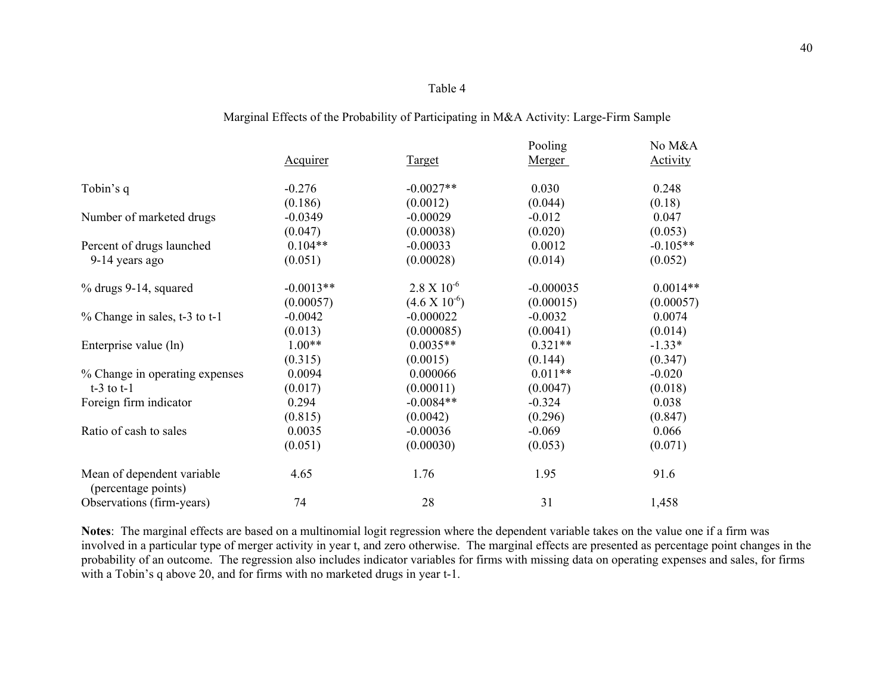#### Table 4

## Marginal Effects of the Probability of Participating in M&A Activity: Large-Firm Sample

|                                                   |                 |                        | Pooling     | No M&A          |
|---------------------------------------------------|-----------------|------------------------|-------------|-----------------|
|                                                   | <b>Acquirer</b> | <b>Target</b>          | Merger      | <b>Activity</b> |
| Tobin's q                                         | $-0.276$        | $-0.0027**$            | 0.030       | 0.248           |
|                                                   | (0.186)         | (0.0012)               | (0.044)     | (0.18)          |
| Number of marketed drugs                          | $-0.0349$       | $-0.00029$             | $-0.012$    | 0.047           |
|                                                   | (0.047)         | (0.00038)              | (0.020)     | (0.053)         |
| Percent of drugs launched                         | $0.104**$       | $-0.00033$             | 0.0012      | $-0.105**$      |
| 9-14 years ago                                    | (0.051)         | (0.00028)              | (0.014)     | (0.052)         |
| % drugs 9-14, squared                             | $-0.0013**$     | $2.8 \times 10^{-6}$   | $-0.000035$ | $0.0014**$      |
|                                                   | (0.00057)       | $(4.6 \times 10^{-6})$ | (0.00015)   | (0.00057)       |
| % Change in sales, t-3 to t-1                     | $-0.0042$       | $-0.000022$            | $-0.0032$   | 0.0074          |
|                                                   | (0.013)         | (0.000085)             | (0.0041)    | (0.014)         |
| Enterprise value (ln)                             | $1.00**$        | $0.0035**$             | $0.321**$   | $-1.33*$        |
|                                                   | (0.315)         | (0.0015)               | (0.144)     | (0.347)         |
| % Change in operating expenses                    | 0.0094          | 0.000066               | $0.011**$   | $-0.020$        |
| $t-3$ to $t-1$                                    | (0.017)         | (0.00011)              | (0.0047)    | (0.018)         |
| Foreign firm indicator                            | 0.294           | $-0.0084**$            | $-0.324$    | 0.038           |
|                                                   | (0.815)         | (0.0042)               | (0.296)     | (0.847)         |
| Ratio of cash to sales                            | 0.0035          | $-0.00036$             | $-0.069$    | 0.066           |
|                                                   | (0.051)         | (0.00030)              | (0.053)     | (0.071)         |
| Mean of dependent variable<br>(percentage points) | 4.65            | 1.76                   | 1.95        | 91.6            |
| Observations (firm-years)                         | 74              | 28                     | 31          | 1,458           |

**Notes**: The marginal effects are based on a multinomial logit regression where the dependent variable takes on the value one if a firm was involved in a particular type of merger activity in year t, and zero otherwise. The marginal effects are presented as percentage point changes in the probability of an outcome. The regression also includes indicator variables for firms with missing data on operating expenses and sales, for firms with a Tobin's q above 20, and for firms with no marketed drugs in year t-1.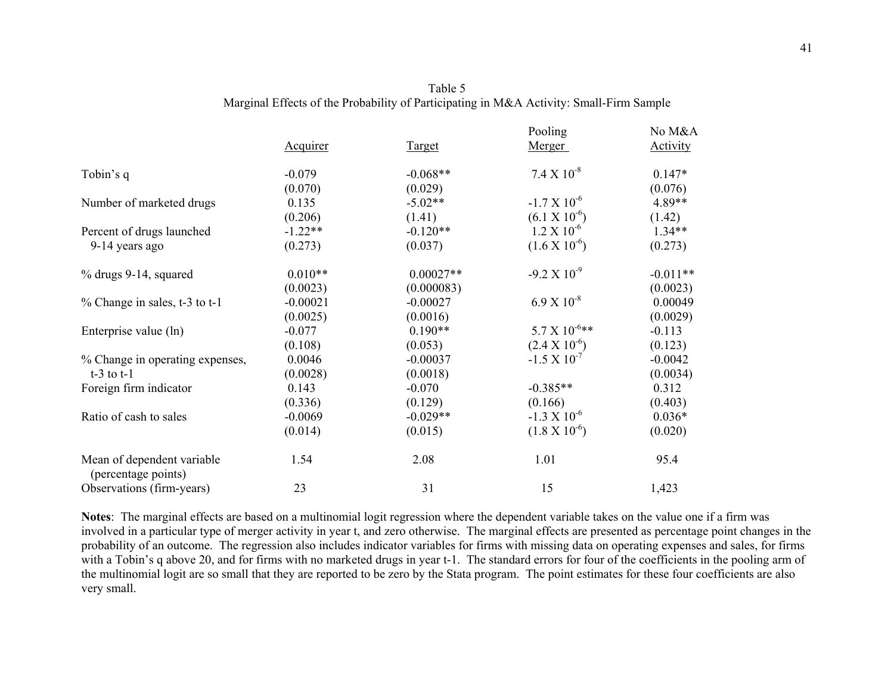|                                                   |                 |               | Pooling                    | No M&A     |
|---------------------------------------------------|-----------------|---------------|----------------------------|------------|
|                                                   | <b>Acquirer</b> | <b>Target</b> | Merger                     | Activity   |
| Tobin's q                                         | $-0.079$        | $-0.068**$    | $7.4 \times 10^{-8}$       | $0.147*$   |
|                                                   | (0.070)         | (0.029)       |                            | (0.076)    |
| Number of marketed drugs                          | 0.135           | $-5.02**$     | $-1.7 \times 10^{-6}$      | 4.89**     |
|                                                   | (0.206)         | (1.41)        | $(6.1 \times 10^{-6})$     | (1.42)     |
| Percent of drugs launched                         | $-1.22**$       | $-0.120**$    | $1.2 \times 10^{-6}$       | $1.34**$   |
| 9-14 years ago                                    | (0.273)         | (0.037)       | $(1.6 \times 10^{-6})$     | (0.273)    |
| % drugs 9-14, squared                             | $0.010**$       | $0.00027**$   | $-9.2 \times 10^{-9}$      | $-0.011**$ |
|                                                   | (0.0023)        | (0.000083)    |                            | (0.0023)   |
| % Change in sales, t-3 to t-1                     | $-0.00021$      | $-0.00027$    | $6.9 \times 10^{-8}$       | 0.00049    |
|                                                   | (0.0025)        | (0.0016)      |                            | (0.0029)   |
| Enterprise value (ln)                             | $-0.077$        | $0.190**$     | $5.7 \times 10^{-6}$ **    | $-0.113$   |
|                                                   | (0.108)         | (0.053)       | $(2.4 \times 10^{-6})$     | (0.123)    |
| % Change in operating expenses,                   | 0.0046          | $-0.00037$    | $-1.5 \times 10^{-7}$      | $-0.0042$  |
| $t-3$ to $t-1$                                    | (0.0028)        | (0.0018)      |                            | (0.0034)   |
| Foreign firm indicator                            | 0.143           | $-0.070$      | $-0.385**$                 | 0.312      |
|                                                   | (0.336)         | (0.129)       | (0.166)                    | (0.403)    |
| Ratio of cash to sales                            | $-0.0069$       | $-0.029**$    | $-1.3 \times 10^{-6}$      | $0.036*$   |
|                                                   | (0.014)         | (0.015)       | $(1.8 \text{ X } 10^{-6})$ | (0.020)    |
| Mean of dependent variable<br>(percentage points) | 1.54            | 2.08          | 1.01                       | 95.4       |
| Observations (firm-years)                         | 23              | 31            | 15                         | 1,423      |

Table 5 Marginal Effects of the Probability of Participating in M&A Activity: Small-Firm Sample

**Notes**: The marginal effects are based on a multinomial logit regression where the dependent variable takes on the value one if a firm was involved in a particular type of merger activity in year t, and zero otherwise. The marginal effects are presented as percentage point changes in the probability of an outcome. The regression also includes indicator variables for firms with missing data on operating expenses and sales, for firms with a Tobin's q above 20, and for firms with no marketed drugs in year t-1. The standard errors for four of the coefficients in the pooling arm of the multinomial logit are so small that they are reported to be zero by the Stata program. The point estimates for these four coefficients are also very small.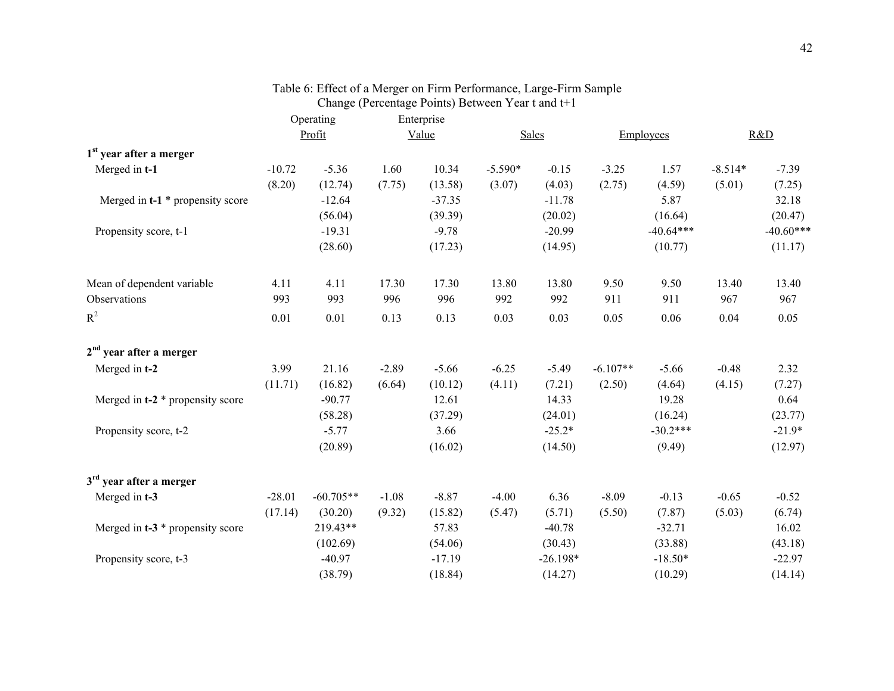|                                    | Operating<br>Profit |             |         | Enterprise |           |              |            |             |           |             |
|------------------------------------|---------------------|-------------|---------|------------|-----------|--------------|------------|-------------|-----------|-------------|
|                                    |                     |             |         | Value      |           | <b>Sales</b> |            | Employees   |           | R&D         |
| $1st$ year after a merger          |                     |             |         |            |           |              |            |             |           |             |
| Merged in t-1                      | $-10.72$            | $-5.36$     | 1.60    | 10.34      | $-5.590*$ | $-0.15$      | $-3.25$    | 1.57        | $-8.514*$ | $-7.39$     |
|                                    | (8.20)              | (12.74)     | (7.75)  | (13.58)    | (3.07)    | (4.03)       | (2.75)     | (4.59)      | (5.01)    | (7.25)      |
| Merged in $t-1$ * propensity score |                     | $-12.64$    |         | $-37.35$   |           | $-11.78$     |            | 5.87        |           | 32.18       |
|                                    |                     | (56.04)     |         | (39.39)    |           | (20.02)      |            | (16.64)     |           | (20.47)     |
| Propensity score, t-1              |                     | $-19.31$    |         | $-9.78$    |           | $-20.99$     |            | $-40.64***$ |           | $-40.60***$ |
|                                    |                     | (28.60)     |         | (17.23)    |           | (14.95)      |            | (10.77)     |           | (11.17)     |
| Mean of dependent variable         | 4.11                | 4.11        | 17.30   | 17.30      | 13.80     | 13.80        | 9.50       | 9.50        | 13.40     | 13.40       |
| Observations                       | 993                 | 993         | 996     | 996        | 992       | 992          | 911        | 911         | 967       | 967         |
| $R^2$                              | 0.01                | 0.01        | 0.13    | 0.13       | 0.03      | 0.03         | 0.05       | 0.06        | 0.04      | 0.05        |
| $2nd$ year after a merger          |                     |             |         |            |           |              |            |             |           |             |
| Merged in t-2                      | 3.99                | 21.16       | $-2.89$ | $-5.66$    | $-6.25$   | $-5.49$      | $-6.107**$ | $-5.66$     | $-0.48$   | 2.32        |
|                                    | (11.71)             | (16.82)     | (6.64)  | (10.12)    | (4.11)    | (7.21)       | (2.50)     | (4.64)      | (4.15)    | (7.27)      |
| Merged in $t-2$ * propensity score |                     | $-90.77$    |         | 12.61      |           | 14.33        |            | 19.28       |           | 0.64        |
|                                    |                     | (58.28)     |         | (37.29)    |           | (24.01)      |            | (16.24)     |           | (23.77)     |
| Propensity score, t-2              |                     | $-5.77$     |         | 3.66       |           | $-25.2*$     |            | $-30.2***$  |           | $-21.9*$    |
|                                    |                     | (20.89)     |         | (16.02)    |           | (14.50)      |            | (9.49)      |           | (12.97)     |
| $3rd$ year after a merger          |                     |             |         |            |           |              |            |             |           |             |
| Merged in t-3                      | $-28.01$            | $-60.705**$ | $-1.08$ | $-8.87$    | $-4.00$   | 6.36         | $-8.09$    | $-0.13$     | $-0.65$   | $-0.52$     |
|                                    | (17.14)             | (30.20)     | (9.32)  | (15.82)    | (5.47)    | (5.71)       | (5.50)     | (7.87)      | (5.03)    | (6.74)      |
| Merged in $t-3$ * propensity score |                     | 219.43**    |         | 57.83      |           | $-40.78$     |            | $-32.71$    |           | 16.02       |
|                                    |                     | (102.69)    |         | (54.06)    |           | (30.43)      |            | (33.88)     |           | (43.18)     |
| Propensity score, t-3              |                     | $-40.97$    |         | $-17.19$   |           | $-26.198*$   |            | $-18.50*$   |           | $-22.97$    |
|                                    |                     | (38.79)     |         | (18.84)    |           | (14.27)      |            | (10.29)     |           | (14.14)     |

## Table 6: Effect of a Merger on Firm Performance, Large-Firm Sample Change (Percentage Points) Between Year t and t+1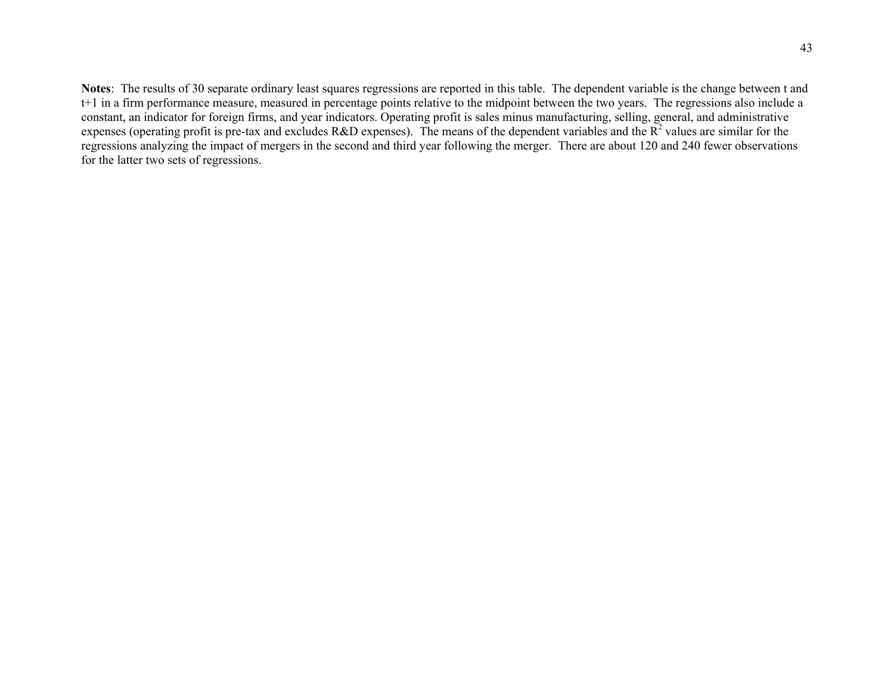**Notes**: The results of 30 separate ordinary least squares regressions are reported in this table. The dependent variable is the change between t and t+1 in a firm performance measure, measured in percentage points relative to the midpoint between the two years. The regressions also include a constant, an indicator for foreign firms, and year indicators. Operating profit is sales minus manufacturing, selling, general, and administrative expenses (operating profit is pre-tax and excludes R&D expenses). The means of the dependent variables and the  $\mathbb{R}^2$  values are similar for the regressions analyzing the impact of mergers in the second and third year following the merger. There are about 120 and 240 fewer observations for the latter two sets of regressions.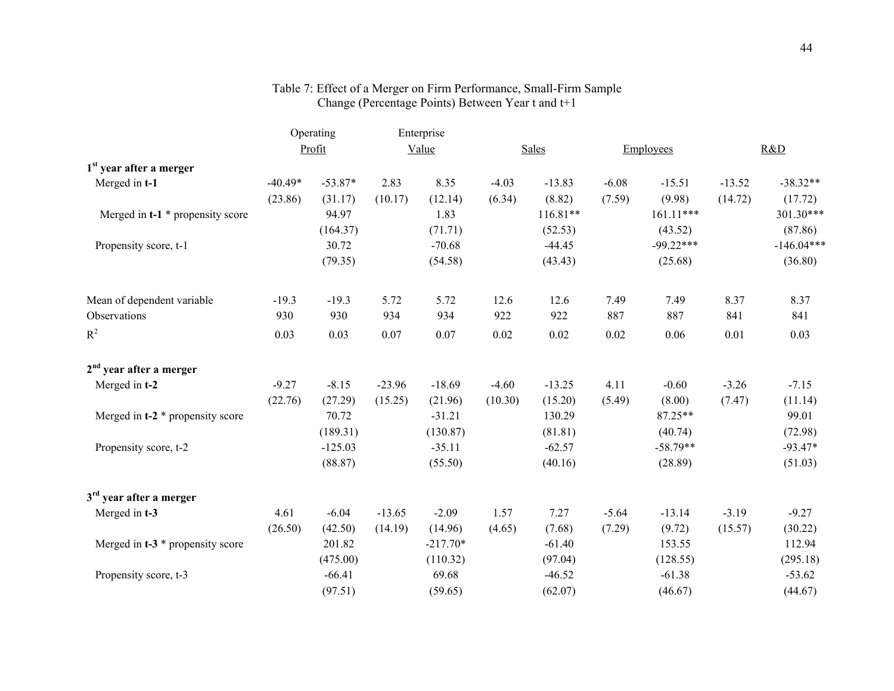|                                     | Operating<br>Profit |           | Enterprise<br>Value |            | <b>Sales</b> |            | Employees |             | R&D      |              |
|-------------------------------------|---------------------|-----------|---------------------|------------|--------------|------------|-----------|-------------|----------|--------------|
| 1 <sup>st</sup> year after a merger |                     |           |                     |            |              |            |           |             |          |              |
| Merged in t-1                       | $-40.49*$           | $-53.87*$ | 2.83                | 8.35       | $-4.03$      | $-13.83$   | $-6.08$   | $-15.51$    | $-13.52$ | $-38.32**$   |
|                                     | (23.86)             | (31.17)   | (10.17)             | (12.14)    | (6.34)       | (8.82)     | (7.59)    | (9.98)      | (14.72)  | (17.72)      |
| Merged in $t-1$ * propensity score  |                     | 94.97     |                     | 1.83       |              | $116.81**$ |           | $161.11***$ |          | 301.30***    |
|                                     |                     | (164.37)  |                     | (71.71)    |              | (52.53)    |           | (43.52)     |          | (87.86)      |
| Propensity score, t-1               |                     | 30.72     |                     | $-70.68$   |              | $-44.45$   |           | $-99.22***$ |          | $-146.04***$ |
|                                     |                     | (79.35)   |                     | (54.58)    |              | (43.43)    |           | (25.68)     |          | (36.80)      |
| Mean of dependent variable          | $-19.3$             | $-19.3$   | 5.72                | 5.72       | 12.6         | 12.6       | 7.49      | 7.49        | 8.37     | 8.37         |
| Observations                        | 930                 | 930       | 934                 | 934        | 922          | 922        | 887       | 887         | 841      | 841          |
| $R^2$                               | 0.03                | 0.03      | 0.07                | 0.07       | 0.02         | 0.02       | 0.02      | 0.06        | 0.01     | 0.03         |
| $2nd$ year after a merger           |                     |           |                     |            |              |            |           |             |          |              |
| Merged in t-2                       | $-9.27$             | $-8.15$   | $-23.96$            | $-18.69$   | $-4.60$      | $-13.25$   | 4.11      | $-0.60$     | $-3.26$  | $-7.15$      |
|                                     | (22.76)             | (27.29)   | (15.25)             | (21.96)    | (10.30)      | (15.20)    | (5.49)    | (8.00)      | (7.47)   | (11.14)      |
| Merged in $t-2$ * propensity score  |                     | 70.72     |                     | $-31.21$   |              | 130.29     |           | 87.25**     |          | 99.01        |
|                                     |                     | (189.31)  |                     | (130.87)   |              | (81.81)    |           | (40.74)     |          | (72.98)      |
| Propensity score, t-2               |                     | $-125.03$ |                     | $-35.11$   |              | $-62.57$   |           | $-58.79**$  |          | $-93.47*$    |
|                                     |                     | (88.87)   |                     | (55.50)    |              | (40.16)    |           | (28.89)     |          | (51.03)      |
| $3rd$ year after a merger           |                     |           |                     |            |              |            |           |             |          |              |
| Merged in t-3                       | 4.61                | $-6.04$   | $-13.65$            | $-2.09$    | 1.57         | 7.27       | $-5.64$   | $-13.14$    | $-3.19$  | $-9.27$      |
|                                     | (26.50)             | (42.50)   | (14.19)             | (14.96)    | (4.65)       | (7.68)     | (7.29)    | (9.72)      | (15.57)  | (30.22)      |
| Merged in $t-3$ * propensity score  |                     | 201.82    |                     | $-217.70*$ |              | $-61.40$   |           | 153.55      |          | 112.94       |
|                                     |                     | (475.00)  |                     | (110.32)   |              | (97.04)    |           | (128.55)    |          | (295.18)     |
| Propensity score, t-3               |                     | $-66.41$  |                     | 69.68      |              | $-46.52$   |           | $-61.38$    |          | $-53.62$     |
|                                     |                     | (97.51)   |                     | (59.65)    |              | (62.07)    |           | (46.67)     |          | (44.67)      |

## Table 7: Effect of a Merger on Firm Performance, Small-Firm Sample Change (Percentage Points) Between Year t and t+1